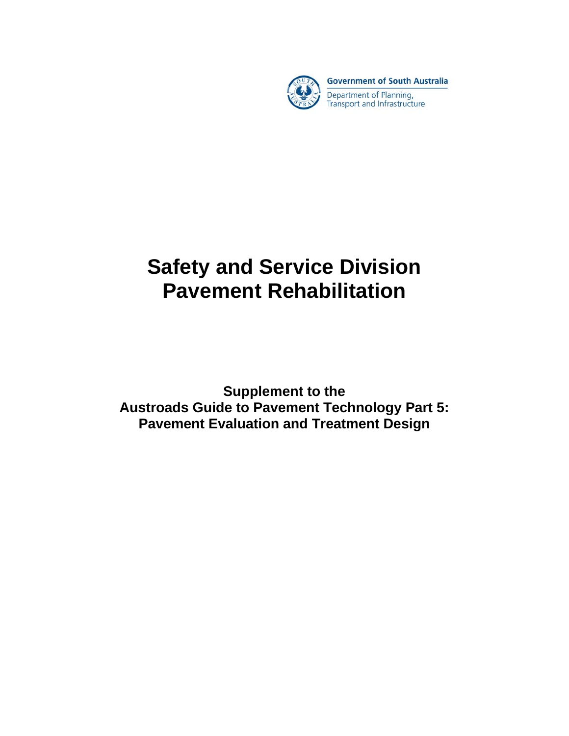

**Government of South Australia** 

Department of Planning, Transport and Infrastructure

# **Safety and Service Division Pavement Rehabilitation**

**Supplement to the Austroads Guide to Pavement Technology Part 5: Pavement Evaluation and Treatment Design**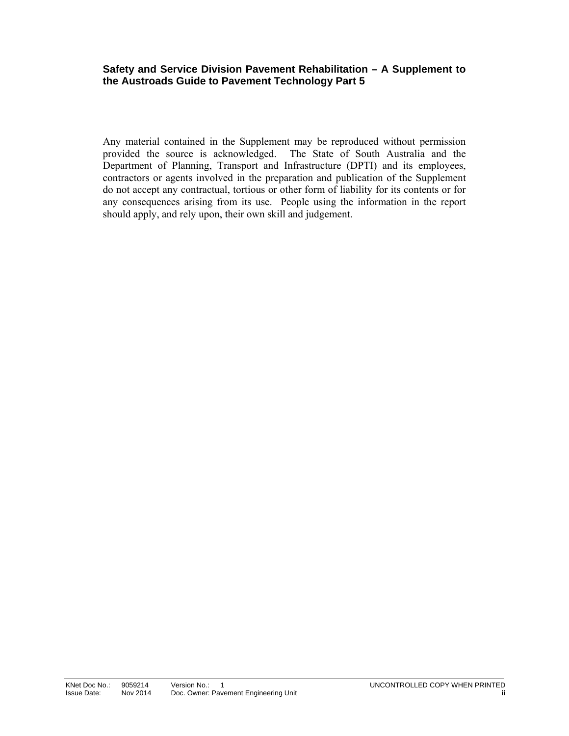#### **Safety and Service Division Pavement Rehabilitation – A Supplement to the Austroads Guide to Pavement Technology Part 5**

Any material contained in the Supplement may be reproduced without permission provided the source is acknowledged. The State of South Australia and the Department of Planning, Transport and Infrastructure (DPTI) and its employees, contractors or agents involved in the preparation and publication of the Supplement do not accept any contractual, tortious or other form of liability for its contents or for any consequences arising from its use. People using the information in the report should apply, and rely upon, their own skill and judgement.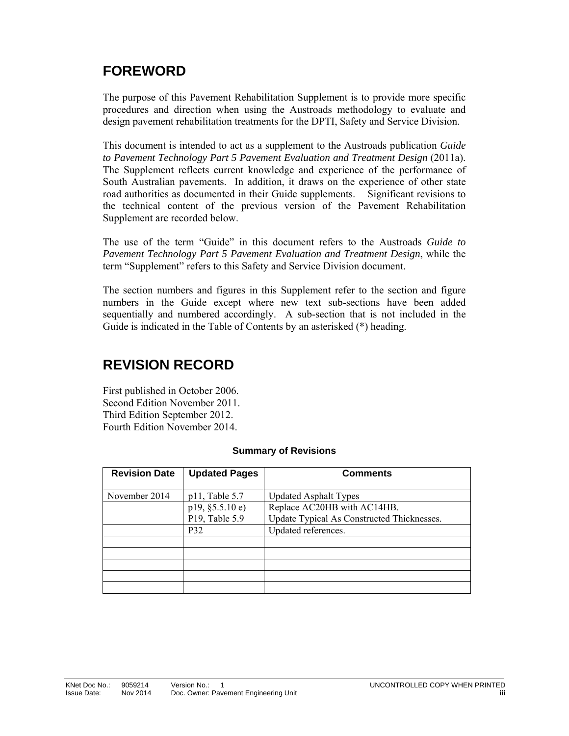# **FOREWORD**

The purpose of this Pavement Rehabilitation Supplement is to provide more specific procedures and direction when using the Austroads methodology to evaluate and design pavement rehabilitation treatments for the DPTI, Safety and Service Division.

This document is intended to act as a supplement to the Austroads publication *Guide to Pavement Technology Part 5 Pavement Evaluation and Treatment Design* (2011a). The Supplement reflects current knowledge and experience of the performance of South Australian pavements. In addition, it draws on the experience of other state road authorities as documented in their Guide supplements. Significant revisions to the technical content of the previous version of the Pavement Rehabilitation Supplement are recorded below.

The use of the term "Guide" in this document refers to the Austroads *Guide to Pavement Technology Part 5 Pavement Evaluation and Treatment Design*, while the term "Supplement" refers to this Safety and Service Division document.

The section numbers and figures in this Supplement refer to the section and figure numbers in the Guide except where new text sub-sections have been added sequentially and numbered accordingly. A sub-section that is not included in the Guide is indicated in the Table of Contents by an asterisked (\*) heading.

# **REVISION RECORD**

First published in October 2006. Second Edition November 2011. Third Edition September 2012. Fourth Edition November 2014.

| <b>Revision Date</b> | <b>Updated Pages</b> | <b>Comments</b>                            |
|----------------------|----------------------|--------------------------------------------|
| November 2014        | $p11$ , Table 5.7    | <b>Updated Asphalt Types</b>               |
|                      | p19, §5.5.10e)       | Replace AC20HB with AC14HB.                |
|                      | P19, Table 5.9       | Update Typical As Constructed Thicknesses. |
|                      | P32                  | Updated references.                        |
|                      |                      |                                            |
|                      |                      |                                            |
|                      |                      |                                            |
|                      |                      |                                            |
|                      |                      |                                            |

#### **Summary of Revisions**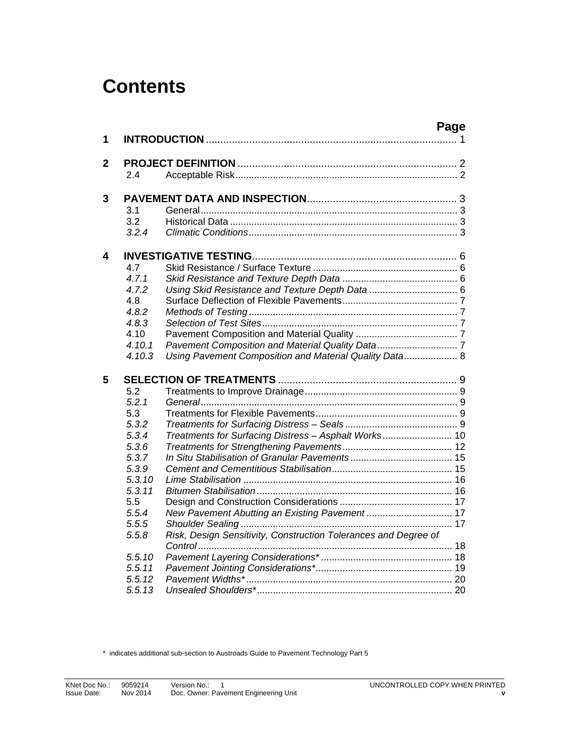# **Contents**

|                |        | Page                                                            |
|----------------|--------|-----------------------------------------------------------------|
| 1              |        |                                                                 |
| $\overline{2}$ |        |                                                                 |
|                | 2.4    |                                                                 |
| 3              |        |                                                                 |
|                | 3.1    |                                                                 |
|                | 3.2    |                                                                 |
|                | 3.2.4  |                                                                 |
| 4              |        |                                                                 |
|                | 4.7    |                                                                 |
|                | 4.7.1  |                                                                 |
|                | 4.7.2  |                                                                 |
|                | 4.8    |                                                                 |
|                | 4.8.2  |                                                                 |
|                | 4.8.3  |                                                                 |
|                | 4.10   |                                                                 |
|                | 4.10.1 |                                                                 |
|                | 4.10.3 | Using Pavement Composition and Material Quality Data 8          |
| 5              |        |                                                                 |
|                | 5.2    |                                                                 |
|                | 5.2.1  |                                                                 |
|                | 5.3    |                                                                 |
|                | 5.3.2  |                                                                 |
|                | 5.3.4  | Treatments for Surfacing Distress - Asphalt Works 10            |
|                | 5.3.6  |                                                                 |
|                | 5.3.7  |                                                                 |
|                | 5.3.9  |                                                                 |
|                | 5.3.10 |                                                                 |
|                | 5.3.11 |                                                                 |
|                | 5.5    |                                                                 |
|                | 5.5.4  | New Pavement Abutting an Existing Pavement  17                  |
|                | 5.5.5  |                                                                 |
|                | 5.5.8  | Risk, Design Sensitivity, Construction Tolerances and Degree of |
|                |        |                                                                 |
|                | 5.5.10 |                                                                 |
|                | 5.5.11 |                                                                 |
|                | 5.5.12 |                                                                 |
|                | 5.5.13 |                                                                 |

\* indicates additional sub-section to Austroads Guide to Pavement Technology Part 5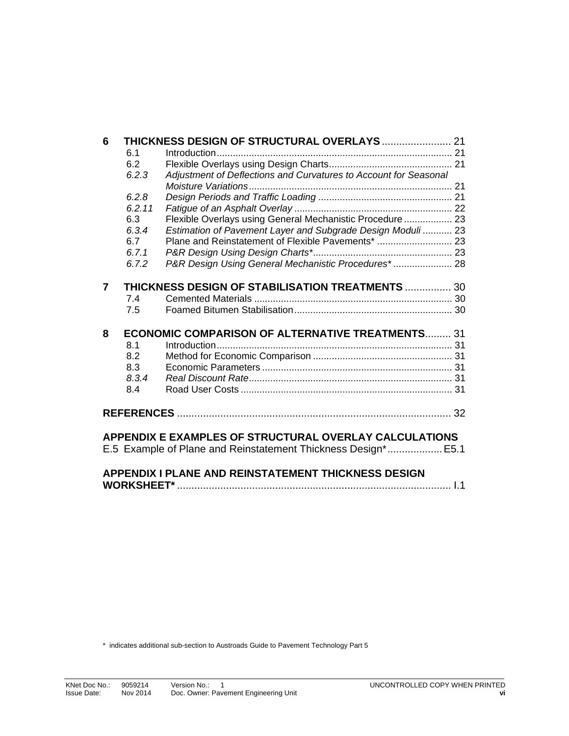| 6 |        | THICKNESS DESIGN OF STRUCTURAL OVERLAYS  21                      |  |
|---|--------|------------------------------------------------------------------|--|
|   | 6.1    |                                                                  |  |
|   | 6.2    |                                                                  |  |
|   | 6.2.3  | Adjustment of Deflections and Curvatures to Account for Seasonal |  |
|   |        |                                                                  |  |
|   | 6.2.8  |                                                                  |  |
|   | 6.2.11 |                                                                  |  |
|   | 6.3    | Flexible Overlays using General Mechanistic Procedure  23        |  |
|   | 6.3.4  | Estimation of Pavement Layer and Subgrade Design Moduli  23      |  |
|   | 6.7    |                                                                  |  |
|   | 6.7.1  |                                                                  |  |
|   | 6.7.2  | P&R Design Using General Mechanistic Procedures* 28              |  |
|   |        |                                                                  |  |
| 7 |        | THICKNESS DESIGN OF STABILISATION TREATMENTS  30                 |  |
|   | 7.4    |                                                                  |  |
|   | 7.5    |                                                                  |  |
|   |        |                                                                  |  |
| 8 |        | <b>ECONOMIC COMPARISON OF ALTERNATIVE TREATMENTS 31</b>          |  |
|   | 8.1    |                                                                  |  |
|   | 8.2    |                                                                  |  |
|   | 8.3    |                                                                  |  |
|   | 8.3.4  |                                                                  |  |
|   | 8.4    |                                                                  |  |
|   |        |                                                                  |  |
|   |        |                                                                  |  |
|   |        |                                                                  |  |
|   |        | APPENDIX E EXAMPLES OF STRUCTURAL OVERLAY CALCULATIONS           |  |
|   |        | E.5 Example of Plane and Reinstatement Thickness Design* E5.1    |  |
|   |        |                                                                  |  |
|   |        | <b>APPENDIX I PLANE AND REINSTATEMENT THICKNESS DESIGN</b>       |  |

**WORKSHEET\*** ............................................................................................... I.1

\* indicates additional sub-section to Austroads Guide to Pavement Technology Part 5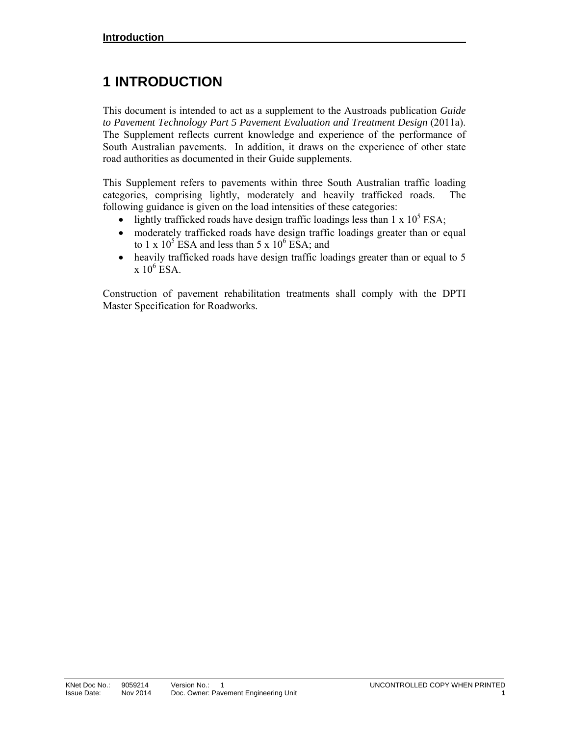# **1 INTRODUCTION**

This document is intended to act as a supplement to the Austroads publication *Guide to Pavement Technology Part 5 Pavement Evaluation and Treatment Design* (2011a). The Supplement reflects current knowledge and experience of the performance of South Australian pavements. In addition, it draws on the experience of other state road authorities as documented in their Guide supplements.

This Supplement refers to pavements within three South Australian traffic loading categories, comprising lightly, moderately and heavily trafficked roads. The following guidance is given on the load intensities of these categories:

- lightly trafficked roads have design traffic loadings less than  $1 \times 10^5$  ESA;
- moderately trafficked roads have design traffic loadings greater than or equal to 1 x  $10^5$  ESA and less than 5 x  $10^6$  ESA; and
- heavily trafficked roads have design traffic loadings greater than or equal to 5  $x 10^6$  ESA.

Construction of pavement rehabilitation treatments shall comply with the DPTI Master Specification for Roadworks.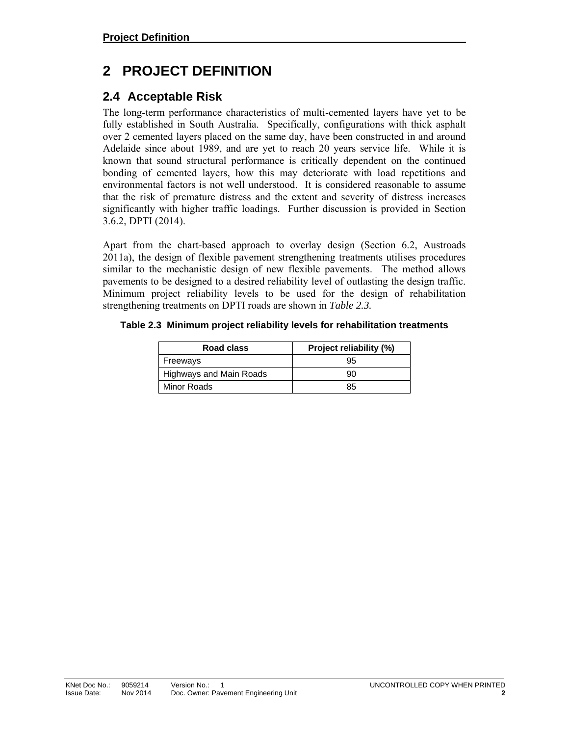# **2 PROJECT DEFINITION**

# **2.4 Acceptable Risk**

The long-term performance characteristics of multi-cemented layers have yet to be fully established in South Australia. Specifically, configurations with thick asphalt over 2 cemented layers placed on the same day, have been constructed in and around Adelaide since about 1989, and are yet to reach 20 years service life. While it is known that sound structural performance is critically dependent on the continued bonding of cemented layers, how this may deteriorate with load repetitions and environmental factors is not well understood. It is considered reasonable to assume that the risk of premature distress and the extent and severity of distress increases significantly with higher traffic loadings. Further discussion is provided in Section 3.6.2, DPTI (2014).

Apart from the chart-based approach to overlay design (Section 6.2, Austroads 2011a), the design of flexible pavement strengthening treatments utilises procedures similar to the mechanistic design of new flexible pavements. The method allows pavements to be designed to a desired reliability level of outlasting the design traffic. Minimum project reliability levels to be used for the design of rehabilitation strengthening treatments on DPTI roads are shown in *Table 2.3.* 

#### **Table 2.3 Minimum project reliability levels for rehabilitation treatments**

| Road class                     | <b>Project reliability (%)</b> |
|--------------------------------|--------------------------------|
| Freeways                       | 95                             |
| <b>Highways and Main Roads</b> | 90                             |
| Minor Roads                    | 85                             |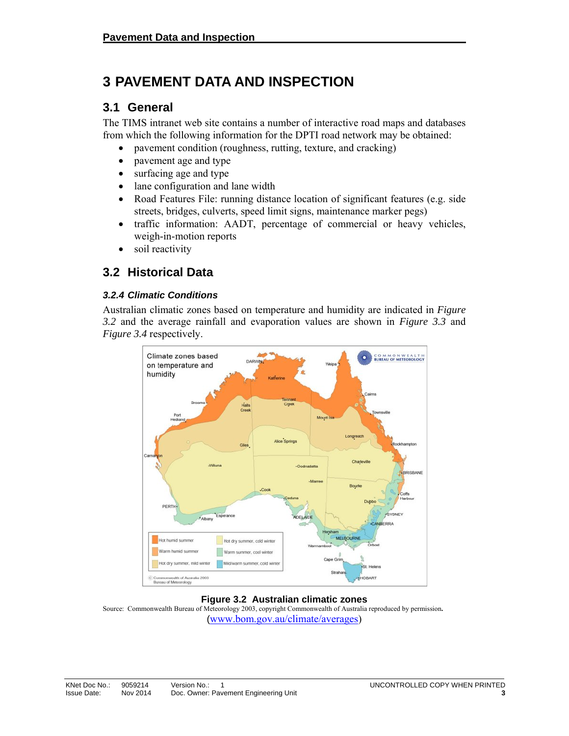# **3 PAVEMENT DATA AND INSPECTION**

### **3.1 General**

The TIMS intranet web site contains a number of interactive road maps and databases from which the following information for the DPTI road network may be obtained:

- pavement condition (roughness, rutting, texture, and cracking)
- pavement age and type
- surfacing age and type
- lane configuration and lane width
- Road Features File: running distance location of significant features (e.g. side streets, bridges, culverts, speed limit signs, maintenance marker pegs)
- traffic information: AADT, percentage of commercial or heavy vehicles, weigh-in-motion reports
- soil reactivity

### **3.2 Historical Data**

#### *3.2.4 Climatic Conditions*

Australian climatic zones based on temperature and humidity are indicated in *Figure 3.2* and the average rainfall and evaporation values are shown in *Figure 3.3* and *Figure 3.4* respectively.



#### **Figure 3.2 Australian climatic zones**

Source: Commonwealth Bureau of Meteorology 2003, copyright Commonwealth of Australia reproduced by permission**.**  (www.bom.gov.au/climate/averages)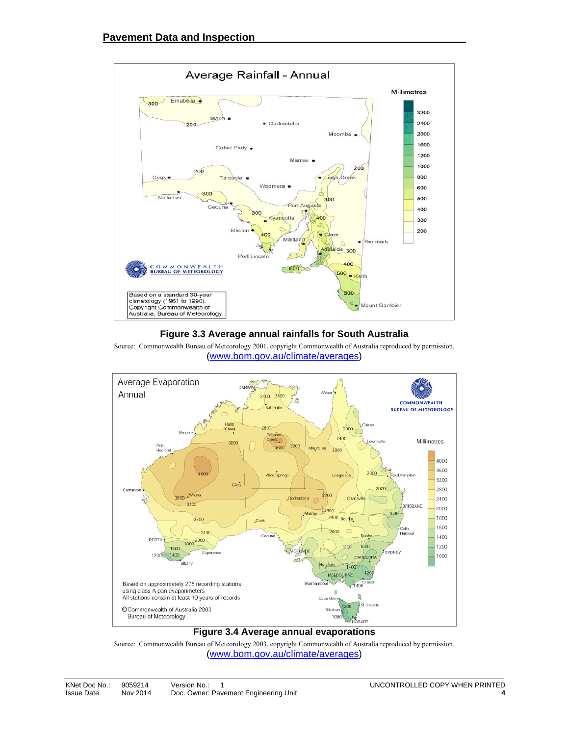

#### **Figure 3.3 Average annual rainfalls for South Australia**





#### **Figure 3.4 Average annual evaporations**

Source: Commonwealth Bureau of Meteorology 2003, copyright Commonwealth of Australia reproduced by permission. (www.bom.gov.au/climate/averages)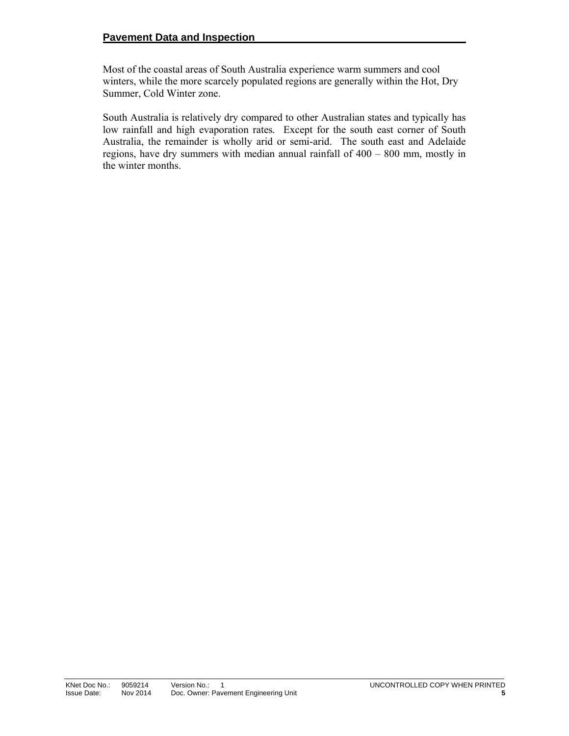Most of the coastal areas of South Australia experience warm summers and cool winters, while the more scarcely populated regions are generally within the Hot, Dry Summer, Cold Winter zone.

South Australia is relatively dry compared to other Australian states and typically has low rainfall and high evaporation rates*.* Except for the south east corner of South Australia, the remainder is wholly arid or semi-arid. The south east and Adelaide regions, have dry summers with median annual rainfall of 400 – 800 mm, mostly in the winter months.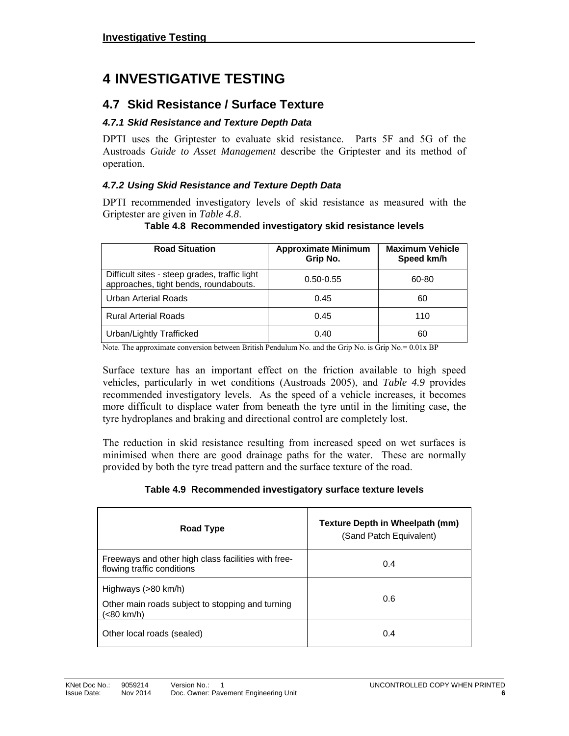# **4 INVESTIGATIVE TESTING**

### **4.7 Skid Resistance / Surface Texture**

#### *4.7.1 Skid Resistance and Texture Depth Data*

DPTI uses the Griptester to evaluate skid resistance. Parts 5F and 5G of the Austroads *Guide to Asset Management* describe the Griptester and its method of operation.

#### *4.7.2 Using Skid Resistance and Texture Depth Data*

DPTI recommended investigatory levels of skid resistance as measured with the Griptester are given in *Table 4.8*.

| <b>Road Situation</b>                                                                  | <b>Approximate Minimum</b><br>Grip No. | <b>Maximum Vehicle</b><br>Speed km/h |
|----------------------------------------------------------------------------------------|----------------------------------------|--------------------------------------|
| Difficult sites - steep grades, traffic light<br>approaches, tight bends, roundabouts. | $0.50 - 0.55$                          | 60-80                                |
| <b>Urban Arterial Roads</b>                                                            | 0.45                                   | 60                                   |
| <b>Rural Arterial Roads</b>                                                            | 0.45                                   | 110                                  |
| Urban/Lightly Trafficked                                                               | 0.40                                   | 60                                   |

#### **Table 4.8 Recommended investigatory skid resistance levels**

Note. The approximate conversion between British Pendulum No. and the Grip No. is Grip No. = 0.01x BP

Surface texture has an important effect on the friction available to high speed vehicles, particularly in wet conditions (Austroads 2005), and *Table 4.9* provides recommended investigatory levels. As the speed of a vehicle increases, it becomes more difficult to displace water from beneath the tyre until in the limiting case, the tyre hydroplanes and braking and directional control are completely lost.

The reduction in skid resistance resulting from increased speed on wet surfaces is minimised when there are good drainage paths for the water. These are normally provided by both the tyre tread pattern and the surface texture of the road.

#### **Table 4.9 Recommended investigatory surface texture levels**

| Road Type                                                                             | <b>Texture Depth in Wheelpath (mm)</b><br>(Sand Patch Equivalent) |
|---------------------------------------------------------------------------------------|-------------------------------------------------------------------|
| Freeways and other high class facilities with free-<br>flowing traffic conditions     | 0.4                                                               |
| Highways (>80 km/h)<br>Other main roads subject to stopping and turning<br>(<80 km/h) | 0.6                                                               |
| Other local roads (sealed)                                                            | 0.4                                                               |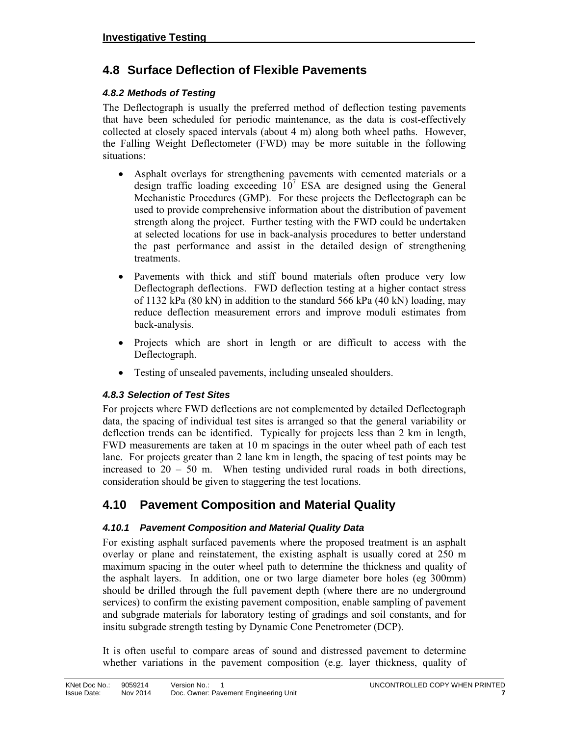### **4.8 Surface Deflection of Flexible Pavements**

#### *4.8.2 Methods of Testing*

The Deflectograph is usually the preferred method of deflection testing pavements that have been scheduled for periodic maintenance, as the data is cost-effectively collected at closely spaced intervals (about 4 m) along both wheel paths. However, the Falling Weight Deflectometer (FWD) may be more suitable in the following situations:

- Asphalt overlays for strengthening pavements with cemented materials or a design traffic loading exceeding  $10^7$  ESA are designed using the General Mechanistic Procedures (GMP). For these projects the Deflectograph can be used to provide comprehensive information about the distribution of pavement strength along the project. Further testing with the FWD could be undertaken at selected locations for use in back-analysis procedures to better understand the past performance and assist in the detailed design of strengthening treatments.
- Pavements with thick and stiff bound materials often produce very low Deflectograph deflections. FWD deflection testing at a higher contact stress of 1132 kPa (80 kN) in addition to the standard 566 kPa (40 kN) loading, may reduce deflection measurement errors and improve moduli estimates from back-analysis.
- Projects which are short in length or are difficult to access with the Deflectograph.
- Testing of unsealed pavements, including unsealed shoulders.

#### *4.8.3 Selection of Test Sites*

For projects where FWD deflections are not complemented by detailed Deflectograph data, the spacing of individual test sites is arranged so that the general variability or deflection trends can be identified. Typically for projects less than 2 km in length, FWD measurements are taken at 10 m spacings in the outer wheel path of each test lane. For projects greater than 2 lane km in length, the spacing of test points may be increased to  $20 - 50$  m. When testing undivided rural roads in both directions, consideration should be given to staggering the test locations.

### **4.10 Pavement Composition and Material Quality**

#### *4.10.1 Pavement Composition and Material Quality Data*

For existing asphalt surfaced pavements where the proposed treatment is an asphalt overlay or plane and reinstatement, the existing asphalt is usually cored at 250 m maximum spacing in the outer wheel path to determine the thickness and quality of the asphalt layers. In addition, one or two large diameter bore holes (eg 300mm) should be drilled through the full pavement depth (where there are no underground services) to confirm the existing pavement composition, enable sampling of pavement and subgrade materials for laboratory testing of gradings and soil constants, and for insitu subgrade strength testing by Dynamic Cone Penetrometer (DCP).

It is often useful to compare areas of sound and distressed pavement to determine whether variations in the pavement composition (e.g. layer thickness, quality of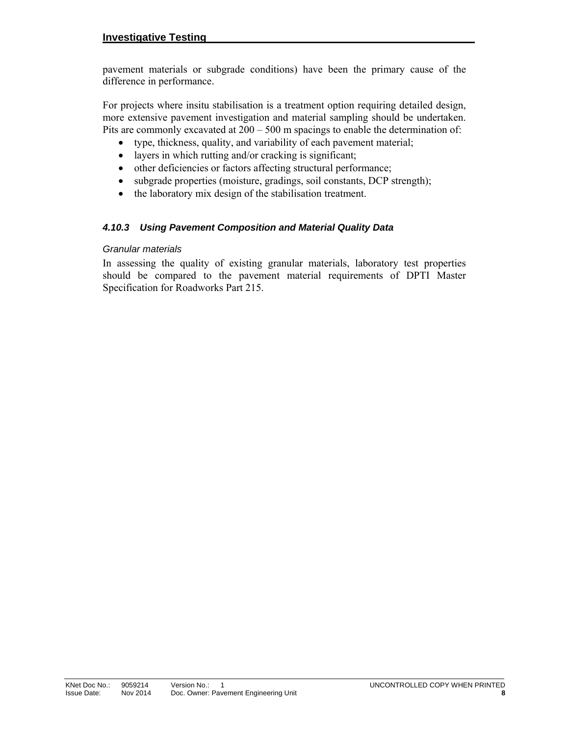pavement materials or subgrade conditions) have been the primary cause of the difference in performance.

For projects where insitu stabilisation is a treatment option requiring detailed design, more extensive pavement investigation and material sampling should be undertaken. Pits are commonly excavated at  $200 - 500$  m spacings to enable the determination of:

- type, thickness, quality, and variability of each pavement material;
- layers in which rutting and/or cracking is significant;
- other deficiencies or factors affecting structural performance;
- subgrade properties (moisture, gradings, soil constants, DCP strength);
- the laboratory mix design of the stabilisation treatment.

#### *4.10.3 Using Pavement Composition and Material Quality Data*

#### *Granular materials*

In assessing the quality of existing granular materials, laboratory test properties should be compared to the pavement material requirements of DPTI Master Specification for Roadworks Part 215.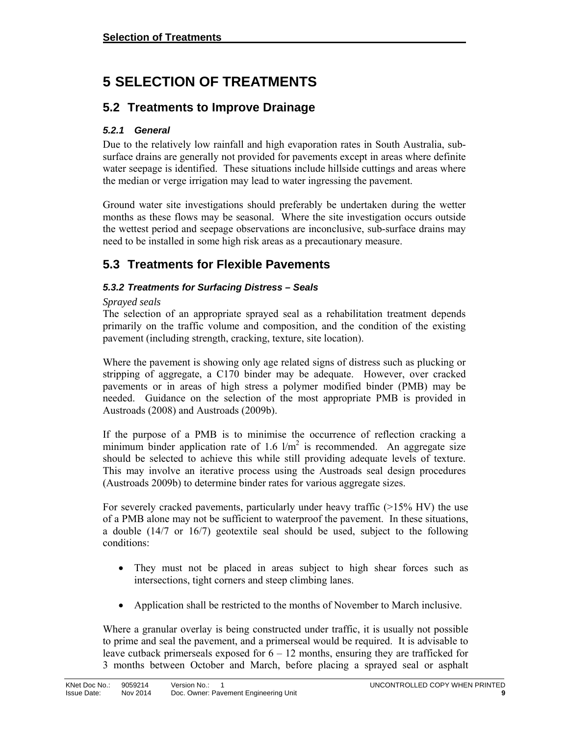# **5 SELECTION OF TREATMENTS**

# **5.2 Treatments to Improve Drainage**

#### *5.2.1 General*

Due to the relatively low rainfall and high evaporation rates in South Australia, subsurface drains are generally not provided for pavements except in areas where definite water seepage is identified. These situations include hillside cuttings and areas where the median or verge irrigation may lead to water ingressing the pavement.

Ground water site investigations should preferably be undertaken during the wetter months as these flows may be seasonal. Where the site investigation occurs outside the wettest period and seepage observations are inconclusive, sub-surface drains may need to be installed in some high risk areas as a precautionary measure.

# **5.3 Treatments for Flexible Pavements**

#### *5.3.2 Treatments for Surfacing Distress – Seals*

#### *Sprayed seals*

The selection of an appropriate sprayed seal as a rehabilitation treatment depends primarily on the traffic volume and composition, and the condition of the existing pavement (including strength, cracking, texture, site location).

Where the pavement is showing only age related signs of distress such as plucking or stripping of aggregate, a C170 binder may be adequate. However, over cracked pavements or in areas of high stress a polymer modified binder (PMB) may be needed. Guidance on the selection of the most appropriate PMB is provided in Austroads (2008) and Austroads (2009b).

If the purpose of a PMB is to minimise the occurrence of reflection cracking a minimum binder application rate of 1.6  $1/m^2$  is recommended. An aggregate size should be selected to achieve this while still providing adequate levels of texture. This may involve an iterative process using the Austroads seal design procedures (Austroads 2009b) to determine binder rates for various aggregate sizes.

For severely cracked pavements, particularly under heavy traffic (>15% HV) the use of a PMB alone may not be sufficient to waterproof the pavement. In these situations, a double (14/7 or 16/7) geotextile seal should be used, subject to the following conditions:

- They must not be placed in areas subject to high shear forces such as intersections, tight corners and steep climbing lanes.
- Application shall be restricted to the months of November to March inclusive.

Where a granular overlay is being constructed under traffic, it is usually not possible to prime and seal the pavement, and a primerseal would be required. It is advisable to leave cutback primerseals exposed for  $6 - 12$  months, ensuring they are trafficked for 3 months between October and March, before placing a sprayed seal or asphalt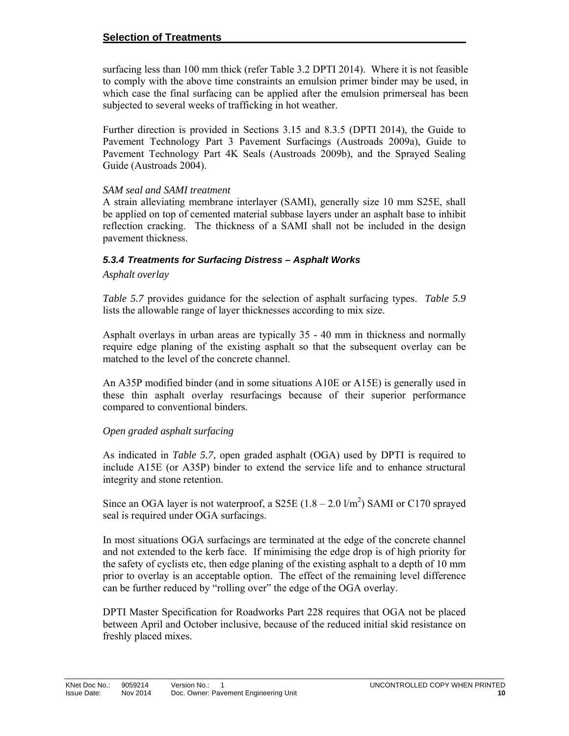surfacing less than 100 mm thick (refer Table 3.2 DPTI 2014). Where it is not feasible to comply with the above time constraints an emulsion primer binder may be used, in which case the final surfacing can be applied after the emulsion primerseal has been subjected to several weeks of trafficking in hot weather.

Further direction is provided in Sections 3.15 and 8.3.5 (DPTI 2014), the Guide to Pavement Technology Part 3 Pavement Surfacings (Austroads 2009a), Guide to Pavement Technology Part 4K Seals (Austroads 2009b), and the Sprayed Sealing Guide (Austroads 2004).

#### *SAM seal and SAMI treatment*

A strain alleviating membrane interlayer (SAMI), generally size 10 mm S25E, shall be applied on top of cemented material subbase layers under an asphalt base to inhibit reflection cracking. The thickness of a SAMI shall not be included in the design pavement thickness.

#### *5.3.4 Treatments for Surfacing Distress – Asphalt Works*

#### *Asphalt overlay*

*Table 5.7* provides guidance for the selection of asphalt surfacing types. *Table 5.9* lists the allowable range of layer thicknesses according to mix size.

Asphalt overlays in urban areas are typically 35 - 40 mm in thickness and normally require edge planing of the existing asphalt so that the subsequent overlay can be matched to the level of the concrete channel.

An A35P modified binder (and in some situations A10E or A15E) is generally used in these thin asphalt overlay resurfacings because of their superior performance compared to conventional binders.

#### *Open graded asphalt surfacing*

As indicated in *Table 5.7*, open graded asphalt (OGA) used by DPTI is required to include A15E (or A35P) binder to extend the service life and to enhance structural integrity and stone retention.

Since an OGA layer is not waterproof, a S25E  $(1.8 - 2.0 \frac{1}{m^2})$  SAMI or C170 sprayed seal is required under OGA surfacings.

In most situations OGA surfacings are terminated at the edge of the concrete channel and not extended to the kerb face. If minimising the edge drop is of high priority for the safety of cyclists etc, then edge planing of the existing asphalt to a depth of 10 mm prior to overlay is an acceptable option. The effect of the remaining level difference can be further reduced by "rolling over" the edge of the OGA overlay.

DPTI Master Specification for Roadworks Part 228 requires that OGA not be placed between April and October inclusive, because of the reduced initial skid resistance on freshly placed mixes.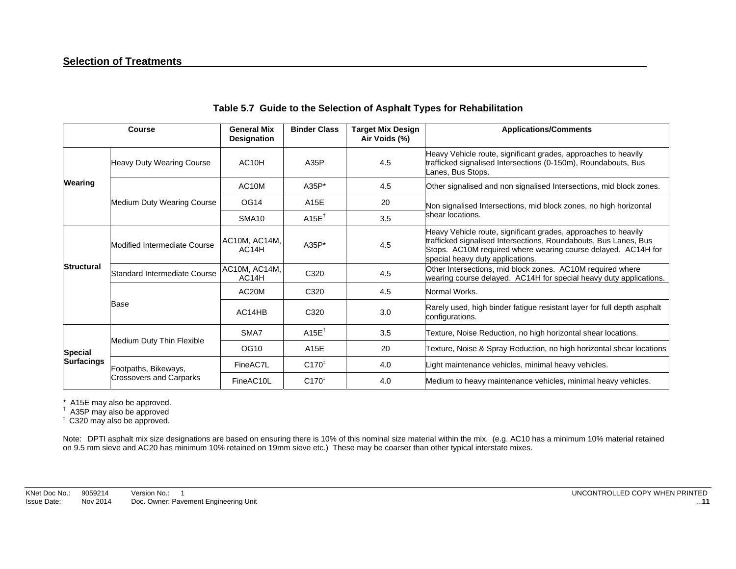|                                     | Course                         | <b>General Mix</b><br>Designation   | <b>Binder Class</b> | <b>Target Mix Design</b><br>Air Voids (%) | <b>Applications/Comments</b>                                                                                                                                                                                                            |
|-------------------------------------|--------------------------------|-------------------------------------|---------------------|-------------------------------------------|-----------------------------------------------------------------------------------------------------------------------------------------------------------------------------------------------------------------------------------------|
|                                     | Heavy Duty Wearing Course      | AC <sub>10</sub> H                  | A35P                | 4.5                                       | Heavy Vehicle route, significant grades, approaches to heavily<br>trafficked signalised Intersections (0-150m), Roundabouts, Bus<br>Lanes, Bus Stops.                                                                                   |
| Wearing                             |                                | AC <sub>10</sub> M                  | $A35P*$             | 4.5                                       | Other signalised and non signalised Intersections, mid block zones.                                                                                                                                                                     |
|                                     | Medium Duty Wearing Course     | <b>OG14</b>                         | A15E                | 20                                        | Non signalised Intersections, mid block zones, no high horizontal                                                                                                                                                                       |
|                                     |                                | SMA <sub>10</sub>                   | $A15E^{\dagger}$    | 3.5                                       | shear locations.                                                                                                                                                                                                                        |
| <b>Structural</b>                   | Modified Intermediate Course   | AC10M, AC14M,<br>AC <sub>14</sub> H | A35P*               | 4.5                                       | Heavy Vehicle route, significant grades, approaches to heavily<br>trafficked signalised Intersections, Roundabouts, Bus Lanes, Bus<br>Stops. AC10M required where wearing course delayed. AC14H for<br>special heavy duty applications. |
|                                     | lStandard Intermediate Course  | AC10M, AC14M,<br>AC14H              | C320                | 4.5                                       | Other Intersections, mid block zones. AC10M required where<br>wearing course delayed. AC14H for special heavy duty applications.                                                                                                        |
|                                     |                                | AC <sub>20</sub> M                  | C <sub>320</sub>    | 4.5                                       | Normal Works.                                                                                                                                                                                                                           |
|                                     | Base                           | AC14HB                              | C <sub>320</sub>    | 3.0                                       | Rarely used, high binder fatigue resistant layer for full depth asphalt<br>configurations.                                                                                                                                              |
|                                     | Medium Duty Thin Flexible      | SMA7                                | A15E <sup>T</sup>   | 3.5                                       | Texture, Noise Reduction, no high horizontal shear locations.                                                                                                                                                                           |
| <b>Special</b><br><b>Surfacings</b> |                                | OG10                                | A15E                | 20                                        | Texture, Noise & Spray Reduction, no high horizontal shear locations                                                                                                                                                                    |
|                                     | Footpaths, Bikeways,           | FineAC7L                            | $C170^{1}$          | 4.0                                       | Light maintenance vehicles, minimal heavy vehicles.                                                                                                                                                                                     |
|                                     | <b>Crossovers and Carparks</b> | FineAC10L                           | $C170^{1}$          | 4.0                                       | Medium to heavy maintenance vehicles, minimal heavy vehicles.                                                                                                                                                                           |

#### **Table 5.7 Guide to the Selection of Asphalt Types for Rehabilitation**

\* A15E may also be approved. † A35P may also be approved

‡ C320 may also be approved.

Note: DPTI asphalt mix size designations are based on ensuring there is 10% of this nominal size material within the mix. (e.g. AC10 has a minimum 10% material retained on 9.5 mm sieve and AC20 has minimum 10% retained on 19mm sieve etc.) These may be coarser than other typical interstate mixes.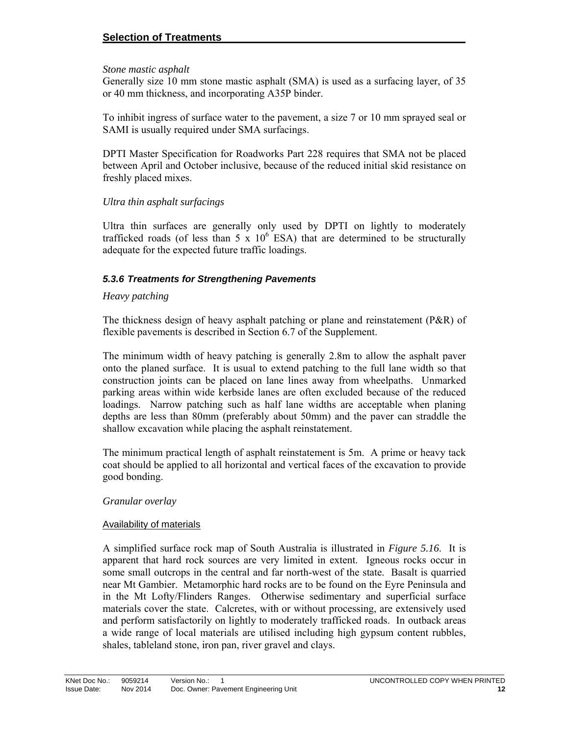#### **Selection of Treatments**

#### *Stone mastic asphalt*

Generally size 10 mm stone mastic asphalt (SMA) is used as a surfacing layer, of 35 or 40 mm thickness, and incorporating A35P binder.

To inhibit ingress of surface water to the pavement, a size 7 or 10 mm sprayed seal or SAMI is usually required under SMA surfacings.

DPTI Master Specification for Roadworks Part 228 requires that SMA not be placed between April and October inclusive, because of the reduced initial skid resistance on freshly placed mixes.

#### *Ultra thin asphalt surfacings*

Ultra thin surfaces are generally only used by DPTI on lightly to moderately trafficked roads (of less than  $5 \times 10^6$  ESA) that are determined to be structurally adequate for the expected future traffic loadings.

#### *5.3.6 Treatments for Strengthening Pavements*

#### *Heavy patching*

The thickness design of heavy asphalt patching or plane and reinstatement  $(P\&R)$  of flexible pavements is described in Section 6.7 of the Supplement.

The minimum width of heavy patching is generally 2.8m to allow the asphalt paver onto the planed surface. It is usual to extend patching to the full lane width so that construction joints can be placed on lane lines away from wheelpaths. Unmarked parking areas within wide kerbside lanes are often excluded because of the reduced loadings. Narrow patching such as half lane widths are acceptable when planing depths are less than 80mm (preferably about 50mm) and the paver can straddle the shallow excavation while placing the asphalt reinstatement.

The minimum practical length of asphalt reinstatement is 5m. A prime or heavy tack coat should be applied to all horizontal and vertical faces of the excavation to provide good bonding.

#### *Granular overlay*

#### Availability of materials

A simplified surface rock map of South Australia is illustrated in *Figure 5.16*. It is apparent that hard rock sources are very limited in extent. Igneous rocks occur in some small outcrops in the central and far north-west of the state. Basalt is quarried near Mt Gambier. Metamorphic hard rocks are to be found on the Eyre Peninsula and in the Mt Lofty/Flinders Ranges. Otherwise sedimentary and superficial surface materials cover the state. Calcretes, with or without processing, are extensively used and perform satisfactorily on lightly to moderately trafficked roads. In outback areas a wide range of local materials are utilised including high gypsum content rubbles, shales, tableland stone, iron pan, river gravel and clays.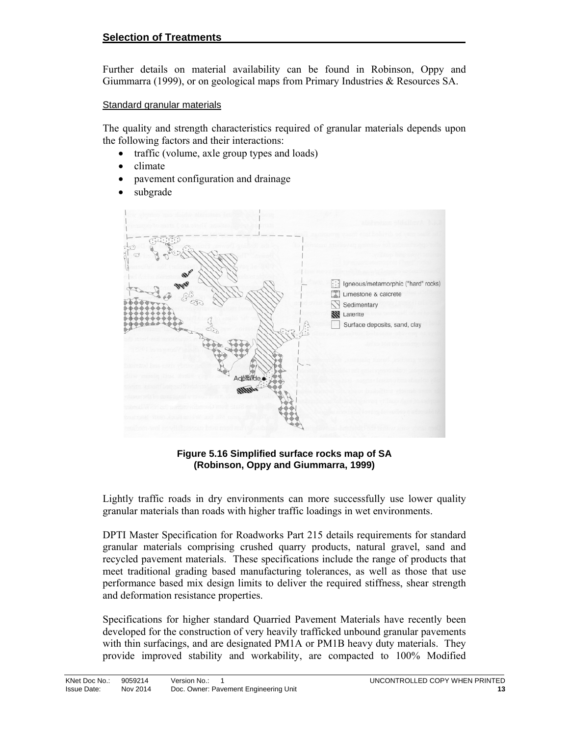Further details on material availability can be found in Robinson, Oppy and Giummarra (1999), or on geological maps from Primary Industries & Resources SA.

#### Standard granular materials

The quality and strength characteristics required of granular materials depends upon the following factors and their interactions:

- traffic (volume, axle group types and loads)
- climate
- pavement configuration and drainage
- subgrade



**Figure 5.16 Simplified surface rocks map of SA (Robinson, Oppy and Giummarra, 1999)** 

Lightly traffic roads in dry environments can more successfully use lower quality granular materials than roads with higher traffic loadings in wet environments.

DPTI Master Specification for Roadworks Part 215 details requirements for standard granular materials comprising crushed quarry products, natural gravel, sand and recycled pavement materials. These specifications include the range of products that meet traditional grading based manufacturing tolerances, as well as those that use performance based mix design limits to deliver the required stiffness, shear strength and deformation resistance properties.

Specifications for higher standard Quarried Pavement Materials have recently been developed for the construction of very heavily trafficked unbound granular pavements with thin surfacings, and are designated PM1A or PM1B heavy duty materials. They provide improved stability and workability, are compacted to 100% Modified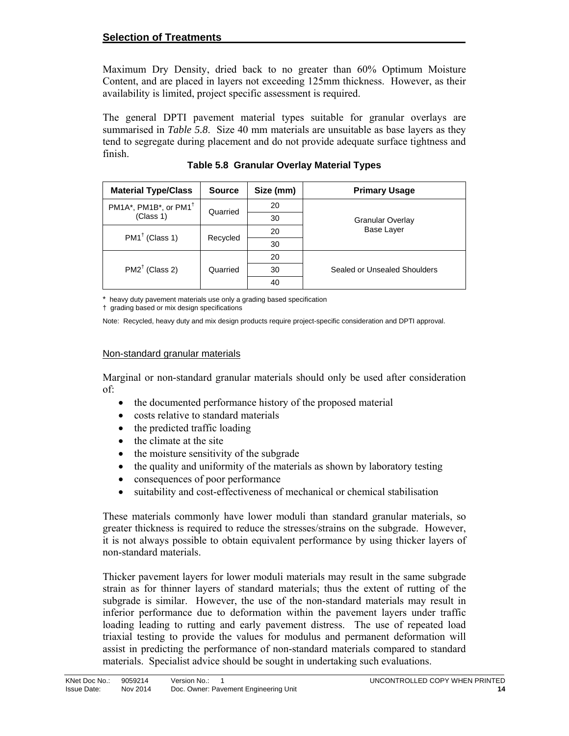#### **Selection of Treatments**

Maximum Dry Density, dried back to no greater than 60% Optimum Moisture Content, and are placed in layers not exceeding 125mm thickness. However, as their availability is limited, project specific assessment is required.

The general DPTI pavement material types suitable for granular overlays are summarised in *Table 5.8*. Size 40 mm materials are unsuitable as base layers as they tend to segregate during placement and do not provide adequate surface tightness and finish.

| <b>Material Type/Class</b>        | <b>Source</b> | Size (mm) | <b>Primary Usage</b>         |
|-----------------------------------|---------------|-----------|------------------------------|
| PM1A*, PM1B*, or PM1 <sup>†</sup> | Quarried      | 20        |                              |
| (Class 1)                         |               | 30        | <b>Granular Overlay</b>      |
| $PM1^{\dagger}$ (Class 1)         | Recycled      | 20        | Base Layer                   |
|                                   |               | 30        |                              |
|                                   | Quarried      | 20        |                              |
| $PM2^{\dagger}$ (Class 2)         |               | 30        | Sealed or Unsealed Shoulders |
|                                   |               | 40        |                              |

**Table 5.8 Granular Overlay Material Types** 

\* heavy duty pavement materials use only a grading based specification

† grading based or mix design specifications

Note: Recycled, heavy duty and mix design products require project-specific consideration and DPTI approval.

#### Non-standard granular materials

Marginal or non-standard granular materials should only be used after consideration of:

- the documented performance history of the proposed material
- costs relative to standard materials
- $\bullet$  the predicted traffic loading
- the climate at the site
- the moisture sensitivity of the subgrade
- the quality and uniformity of the materials as shown by laboratory testing
- consequences of poor performance
- suitability and cost-effectiveness of mechanical or chemical stabilisation

These materials commonly have lower moduli than standard granular materials, so greater thickness is required to reduce the stresses/strains on the subgrade. However, it is not always possible to obtain equivalent performance by using thicker layers of non-standard materials.

Thicker pavement layers for lower moduli materials may result in the same subgrade strain as for thinner layers of standard materials; thus the extent of rutting of the subgrade is similar. However, the use of the non-standard materials may result in inferior performance due to deformation within the pavement layers under traffic loading leading to rutting and early pavement distress. The use of repeated load triaxial testing to provide the values for modulus and permanent deformation will assist in predicting the performance of non-standard materials compared to standard materials. Specialist advice should be sought in undertaking such evaluations.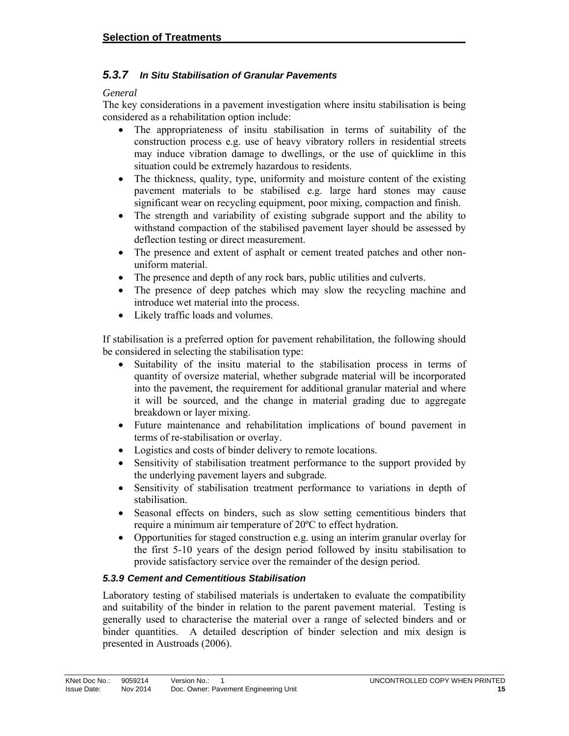#### *5.3.7 In Situ Stabilisation of Granular Pavements*

#### *General*

The key considerations in a pavement investigation where insitu stabilisation is being considered as a rehabilitation option include:

- The appropriateness of insitu stabilisation in terms of suitability of the construction process e.g. use of heavy vibratory rollers in residential streets may induce vibration damage to dwellings, or the use of quicklime in this situation could be extremely hazardous to residents.
- The thickness, quality, type, uniformity and moisture content of the existing pavement materials to be stabilised e.g. large hard stones may cause significant wear on recycling equipment, poor mixing, compaction and finish.
- The strength and variability of existing subgrade support and the ability to withstand compaction of the stabilised pavement layer should be assessed by deflection testing or direct measurement.
- The presence and extent of asphalt or cement treated patches and other nonuniform material.
- The presence and depth of any rock bars, public utilities and culverts.
- The presence of deep patches which may slow the recycling machine and introduce wet material into the process.
- Likely traffic loads and volumes.

If stabilisation is a preferred option for pavement rehabilitation, the following should be considered in selecting the stabilisation type:

- Suitability of the insitu material to the stabilisation process in terms of quantity of oversize material, whether subgrade material will be incorporated into the pavement, the requirement for additional granular material and where it will be sourced, and the change in material grading due to aggregate breakdown or layer mixing.
- Future maintenance and rehabilitation implications of bound pavement in terms of re-stabilisation or overlay.
- Logistics and costs of binder delivery to remote locations.
- Sensitivity of stabilisation treatment performance to the support provided by the underlying pavement layers and subgrade.
- Sensitivity of stabilisation treatment performance to variations in depth of stabilisation.
- Seasonal effects on binders, such as slow setting cementitious binders that require a minimum air temperature of 20ºC to effect hydration.
- Opportunities for staged construction e.g. using an interim granular overlay for the first 5-10 years of the design period followed by insitu stabilisation to provide satisfactory service over the remainder of the design period.

#### *5.3.9 Cement and Cementitious Stabilisation*

Laboratory testing of stabilised materials is undertaken to evaluate the compatibility and suitability of the binder in relation to the parent pavement material. Testing is generally used to characterise the material over a range of selected binders and or binder quantities. A detailed description of binder selection and mix design is presented in Austroads (2006).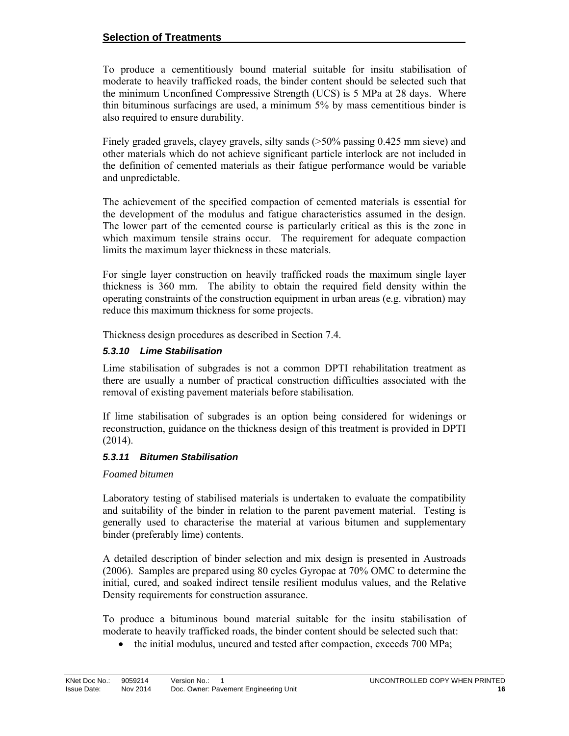#### **Selection of Treatments**

To produce a cementitiously bound material suitable for insitu stabilisation of moderate to heavily trafficked roads, the binder content should be selected such that the minimum Unconfined Compressive Strength (UCS) is 5 MPa at 28 days. Where thin bituminous surfacings are used, a minimum 5% by mass cementitious binder is also required to ensure durability.

Finely graded gravels, clayey gravels, silty sands (>50% passing 0.425 mm sieve) and other materials which do not achieve significant particle interlock are not included in the definition of cemented materials as their fatigue performance would be variable and unpredictable.

The achievement of the specified compaction of cemented materials is essential for the development of the modulus and fatigue characteristics assumed in the design. The lower part of the cemented course is particularly critical as this is the zone in which maximum tensile strains occur. The requirement for adequate compaction limits the maximum layer thickness in these materials.

For single layer construction on heavily trafficked roads the maximum single layer thickness is 360 mm. The ability to obtain the required field density within the operating constraints of the construction equipment in urban areas (e.g. vibration) may reduce this maximum thickness for some projects.

Thickness design procedures as described in Section 7.4.

#### *5.3.10 Lime Stabilisation*

Lime stabilisation of subgrades is not a common DPTI rehabilitation treatment as there are usually a number of practical construction difficulties associated with the removal of existing pavement materials before stabilisation.

If lime stabilisation of subgrades is an option being considered for widenings or reconstruction, guidance on the thickness design of this treatment is provided in DPTI (2014).

#### *5.3.11 Bitumen Stabilisation*

#### *Foamed bitumen*

Laboratory testing of stabilised materials is undertaken to evaluate the compatibility and suitability of the binder in relation to the parent pavement material. Testing is generally used to characterise the material at various bitumen and supplementary binder (preferably lime) contents.

A detailed description of binder selection and mix design is presented in Austroads (2006). Samples are prepared using 80 cycles Gyropac at 70% OMC to determine the initial, cured, and soaked indirect tensile resilient modulus values, and the Relative Density requirements for construction assurance.

To produce a bituminous bound material suitable for the insitu stabilisation of moderate to heavily trafficked roads, the binder content should be selected such that:

• the initial modulus, uncured and tested after compaction, exceeds 700 MPa;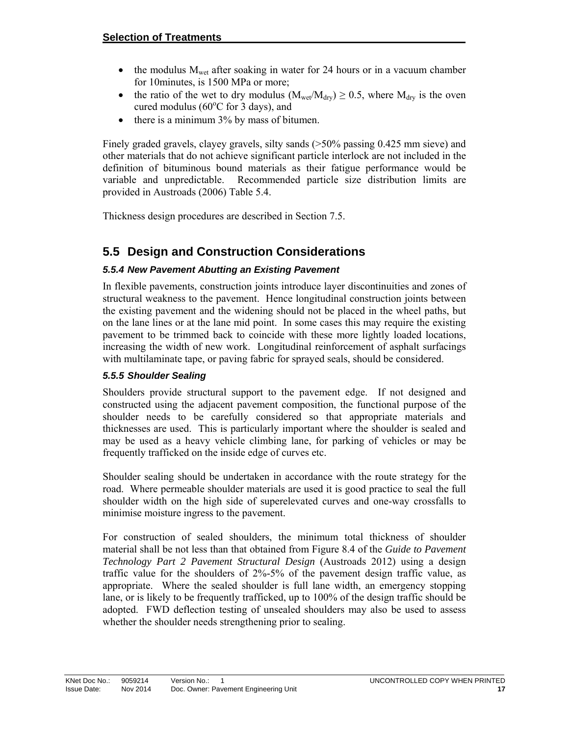- $\bullet$  the modulus  $M_{\text{wet}}$  after soaking in water for 24 hours or in a vacuum chamber for 10minutes, is 1500 MPa or more;
- the ratio of the wet to dry modulus ( $M_{wet}/M_{dry}$ )  $\geq 0.5$ , where  $M_{dry}$  is the oven cured modulus ( $60^{\circ}$ C for 3 days), and
- $\bullet$  there is a minimum 3% by mass of bitumen.

Finely graded gravels, clayey gravels, silty sands (>50% passing 0.425 mm sieve) and other materials that do not achieve significant particle interlock are not included in the definition of bituminous bound materials as their fatigue performance would be variable and unpredictable. Recommended particle size distribution limits are provided in Austroads (2006) Table 5.4.

Thickness design procedures are described in Section 7.5.

# **5.5 Design and Construction Considerations**

#### *5.5.4 New Pavement Abutting an Existing Pavement*

In flexible pavements, construction joints introduce layer discontinuities and zones of structural weakness to the pavement. Hence longitudinal construction joints between the existing pavement and the widening should not be placed in the wheel paths, but on the lane lines or at the lane mid point. In some cases this may require the existing pavement to be trimmed back to coincide with these more lightly loaded locations, increasing the width of new work. Longitudinal reinforcement of asphalt surfacings with multilaminate tape, or paving fabric for sprayed seals, should be considered.

#### *5.5.5 Shoulder Sealing*

Shoulders provide structural support to the pavement edge. If not designed and constructed using the adjacent pavement composition, the functional purpose of the shoulder needs to be carefully considered so that appropriate materials and thicknesses are used. This is particularly important where the shoulder is sealed and may be used as a heavy vehicle climbing lane, for parking of vehicles or may be frequently trafficked on the inside edge of curves etc.

Shoulder sealing should be undertaken in accordance with the route strategy for the road. Where permeable shoulder materials are used it is good practice to seal the full shoulder width on the high side of superelevated curves and one-way crossfalls to minimise moisture ingress to the pavement.

For construction of sealed shoulders, the minimum total thickness of shoulder material shall be not less than that obtained from Figure 8.4 of the *Guide to Pavement Technology Part 2 Pavement Structural Design* (Austroads 2012) using a design traffic value for the shoulders of 2%-5% of the pavement design traffic value, as appropriate. Where the sealed shoulder is full lane width, an emergency stopping lane, or is likely to be frequently trafficked, up to 100% of the design traffic should be adopted. FWD deflection testing of unsealed shoulders may also be used to assess whether the shoulder needs strengthening prior to sealing.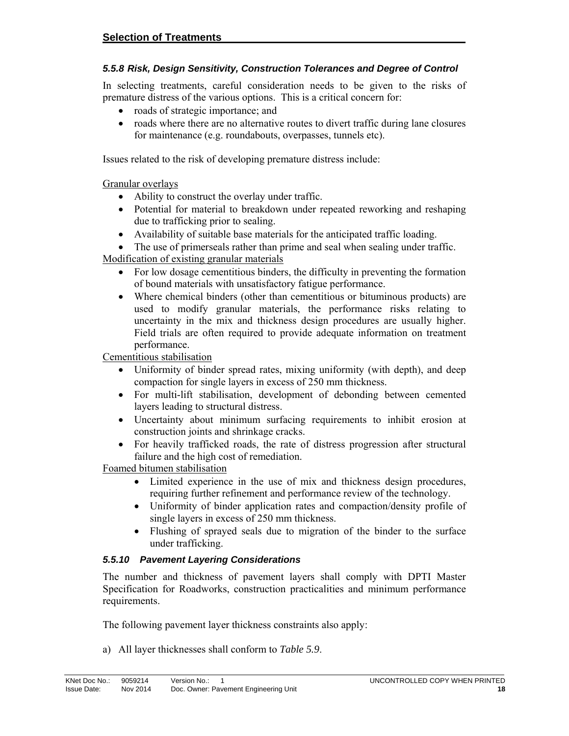#### *5.5.8 Risk, Design Sensitivity, Construction Tolerances and Degree of Control*

In selecting treatments, careful consideration needs to be given to the risks of premature distress of the various options. This is a critical concern for:

- roads of strategic importance; and
- roads where there are no alternative routes to divert traffic during lane closures for maintenance (e.g. roundabouts, overpasses, tunnels etc).

Issues related to the risk of developing premature distress include:

Granular overlays

- Ability to construct the overlay under traffic.
- Potential for material to breakdown under repeated reworking and reshaping due to trafficking prior to sealing.
- Availability of suitable base materials for the anticipated traffic loading.
- The use of primerseals rather than prime and seal when sealing under traffic.

Modification of existing granular materials

- For low dosage cementitious binders, the difficulty in preventing the formation of bound materials with unsatisfactory fatigue performance.
- Where chemical binders (other than cementitious or bituminous products) are used to modify granular materials, the performance risks relating to uncertainty in the mix and thickness design procedures are usually higher. Field trials are often required to provide adequate information on treatment performance.

Cementitious stabilisation

- Uniformity of binder spread rates, mixing uniformity (with depth), and deep compaction for single layers in excess of 250 mm thickness.
- For multi-lift stabilisation, development of debonding between cemented layers leading to structural distress.
- Uncertainty about minimum surfacing requirements to inhibit erosion at construction joints and shrinkage cracks.
- For heavily trafficked roads, the rate of distress progression after structural failure and the high cost of remediation.

Foamed bitumen stabilisation

- Limited experience in the use of mix and thickness design procedures, requiring further refinement and performance review of the technology.
- Uniformity of binder application rates and compaction/density profile of single layers in excess of 250 mm thickness.
- Flushing of sprayed seals due to migration of the binder to the surface under trafficking.

#### *5.5.10 Pavement Layering Considerations*

The number and thickness of pavement layers shall comply with DPTI Master Specification for Roadworks, construction practicalities and minimum performance requirements.

The following pavement layer thickness constraints also apply:

a) All layer thicknesses shall conform to *Table 5.9*.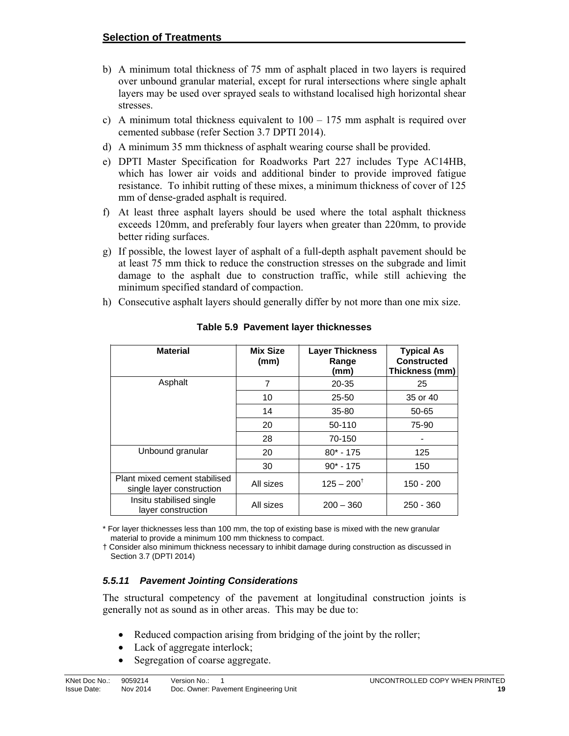- b) A minimum total thickness of 75 mm of asphalt placed in two layers is required over unbound granular material, except for rural intersections where single aphalt layers may be used over sprayed seals to withstand localised high horizontal shear stresses.
- c) A minimum total thickness equivalent to  $100 175$  mm asphalt is required over cemented subbase (refer Section 3.7 DPTI 2014).
- d) A minimum 35 mm thickness of asphalt wearing course shall be provided.
- e) DPTI Master Specification for Roadworks Part 227 includes Type AC14HB, which has lower air voids and additional binder to provide improved fatigue resistance. To inhibit rutting of these mixes, a minimum thickness of cover of 125 mm of dense-graded asphalt is required.
- f) At least three asphalt layers should be used where the total asphalt thickness exceeds 120mm, and preferably four layers when greater than 220mm, to provide better riding surfaces.
- g) If possible, the lowest layer of asphalt of a full-depth asphalt pavement should be at least 75 mm thick to reduce the construction stresses on the subgrade and limit damage to the asphalt due to construction traffic, while still achieving the minimum specified standard of compaction.
- h) Consecutive asphalt layers should generally differ by not more than one mix size.

| <b>Material</b>                                            | <b>Mix Size</b><br>(mm) | <b>Layer Thickness</b><br>Range<br>(mm) | <b>Typical As</b><br><b>Constructed</b><br>Thickness (mm) |
|------------------------------------------------------------|-------------------------|-----------------------------------------|-----------------------------------------------------------|
| Asphalt                                                    | 7                       | 20-35                                   | 25                                                        |
|                                                            | 10                      | $25 - 50$                               | 35 or 40                                                  |
|                                                            | 14                      | $35 - 80$                               | 50-65                                                     |
|                                                            | 20                      | 50-110                                  | 75-90                                                     |
|                                                            | 28                      | 70-150                                  |                                                           |
| Unbound granular                                           | 20                      | $80* - 175$                             | 125                                                       |
|                                                            | 30                      | $90* - 175$                             | 150                                                       |
| Plant mixed cement stabilised<br>single layer construction | All sizes               | $125 - 200^{\dagger}$                   | 150 - 200                                                 |
| Insitu stabilised single<br>layer construction             | All sizes               | $200 - 360$                             | $250 - 360$                                               |

**Table 5.9 Pavement layer thicknesses** 

\* For layer thicknesses less than 100 mm, the top of existing base is mixed with the new granular material to provide a minimum 100 mm thickness to compact.

† Consider also minimum thickness necessary to inhibit damage during construction as discussed in Section 3.7 (DPTI 2014)

#### *5.5.11 Pavement Jointing Considerations*

The structural competency of the pavement at longitudinal construction joints is generally not as sound as in other areas. This may be due to:

- Reduced compaction arising from bridging of the joint by the roller;
- Lack of aggregate interlock;
- Segregation of coarse aggregate.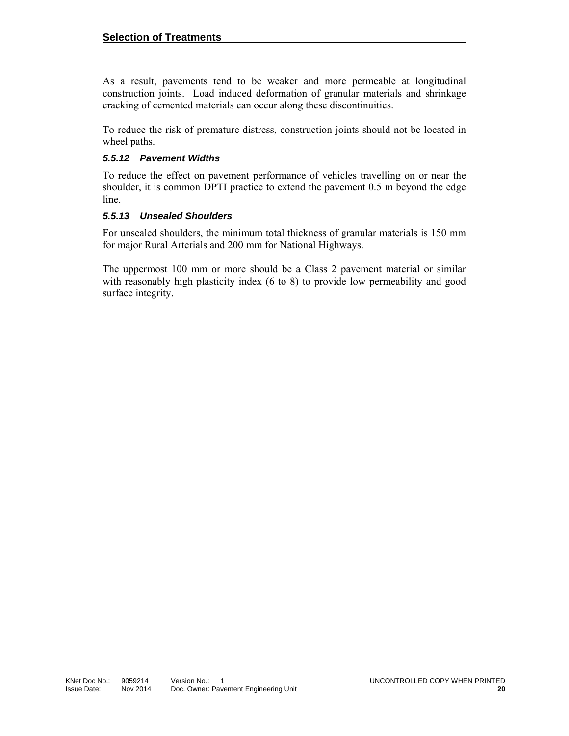As a result, pavements tend to be weaker and more permeable at longitudinal construction joints. Load induced deformation of granular materials and shrinkage cracking of cemented materials can occur along these discontinuities.

To reduce the risk of premature distress, construction joints should not be located in wheel paths.

#### *5.5.12 Pavement Widths*

To reduce the effect on pavement performance of vehicles travelling on or near the shoulder, it is common DPTI practice to extend the pavement 0.5 m beyond the edge line.

#### *5.5.13 Unsealed Shoulders*

For unsealed shoulders, the minimum total thickness of granular materials is 150 mm for major Rural Arterials and 200 mm for National Highways.

The uppermost 100 mm or more should be a Class 2 pavement material or similar with reasonably high plasticity index (6 to 8) to provide low permeability and good surface integrity.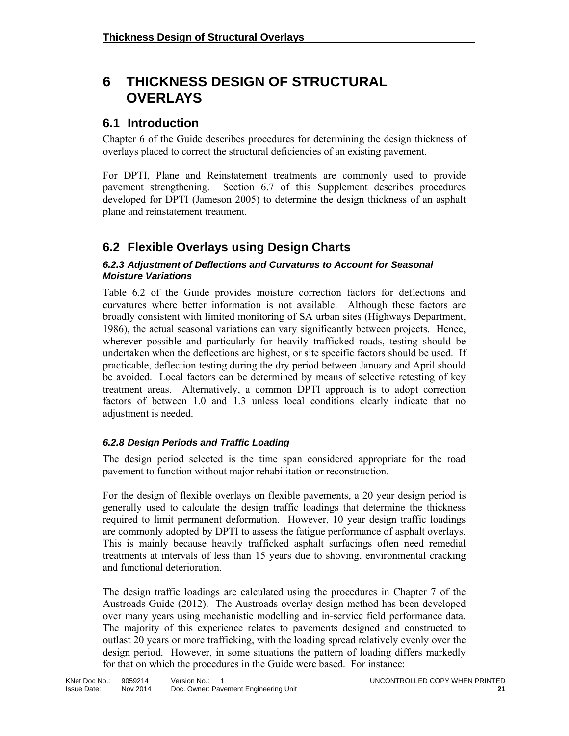# **6 THICKNESS DESIGN OF STRUCTURAL OVERLAYS**

### **6.1 Introduction**

Chapter 6 of the Guide describes procedures for determining the design thickness of overlays placed to correct the structural deficiencies of an existing pavement.

For DPTI, Plane and Reinstatement treatments are commonly used to provide pavement strengthening. Section 6.7 of this Supplement describes procedures developed for DPTI (Jameson 2005) to determine the design thickness of an asphalt plane and reinstatement treatment.

# **6.2 Flexible Overlays using Design Charts**

#### *6.2.3 Adjustment of Deflections and Curvatures to Account for Seasonal Moisture Variations*

Table 6.2 of the Guide provides moisture correction factors for deflections and curvatures where better information is not available. Although these factors are broadly consistent with limited monitoring of SA urban sites (Highways Department, 1986), the actual seasonal variations can vary significantly between projects. Hence, wherever possible and particularly for heavily trafficked roads, testing should be undertaken when the deflections are highest, or site specific factors should be used. If practicable, deflection testing during the dry period between January and April should be avoided. Local factors can be determined by means of selective retesting of key treatment areas. Alternatively, a common DPTI approach is to adopt correction factors of between 1.0 and 1.3 unless local conditions clearly indicate that no adjustment is needed.

#### *6.2.8 Design Periods and Traffic Loading*

The design period selected is the time span considered appropriate for the road pavement to function without major rehabilitation or reconstruction.

For the design of flexible overlays on flexible pavements, a 20 year design period is generally used to calculate the design traffic loadings that determine the thickness required to limit permanent deformation. However, 10 year design traffic loadings are commonly adopted by DPTI to assess the fatigue performance of asphalt overlays. This is mainly because heavily trafficked asphalt surfacings often need remedial treatments at intervals of less than 15 years due to shoving, environmental cracking and functional deterioration.

The design traffic loadings are calculated using the procedures in Chapter 7 of the Austroads Guide (2012). The Austroads overlay design method has been developed over many years using mechanistic modelling and in-service field performance data. The majority of this experience relates to pavements designed and constructed to outlast 20 years or more trafficking, with the loading spread relatively evenly over the design period. However, in some situations the pattern of loading differs markedly for that on which the procedures in the Guide were based. For instance: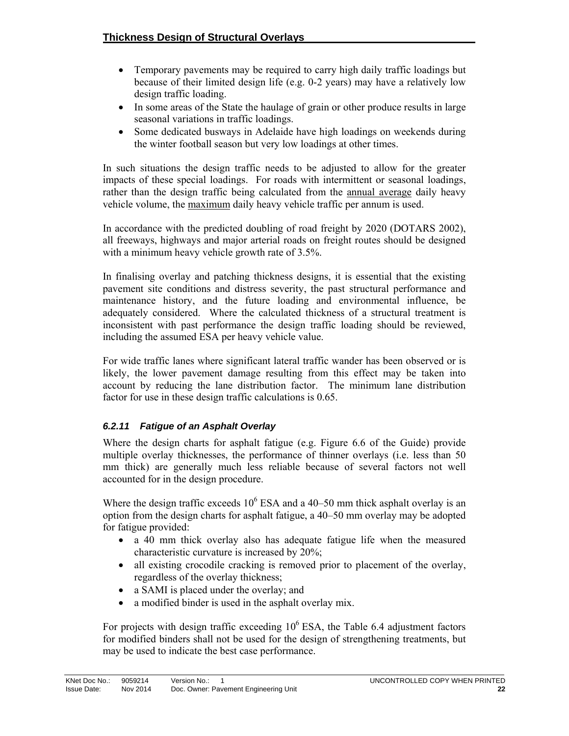- Temporary pavements may be required to carry high daily traffic loadings but because of their limited design life (e.g. 0-2 years) may have a relatively low design traffic loading.
- In some areas of the State the haulage of grain or other produce results in large seasonal variations in traffic loadings.
- Some dedicated busways in Adelaide have high loadings on weekends during the winter football season but very low loadings at other times.

In such situations the design traffic needs to be adjusted to allow for the greater impacts of these special loadings. For roads with intermittent or seasonal loadings, rather than the design traffic being calculated from the annual average daily heavy vehicle volume, the maximum daily heavy vehicle traffic per annum is used.

In accordance with the predicted doubling of road freight by 2020 (DOTARS 2002), all freeways, highways and major arterial roads on freight routes should be designed with a minimum heavy vehicle growth rate of  $3.5\%$ .

In finalising overlay and patching thickness designs, it is essential that the existing pavement site conditions and distress severity, the past structural performance and maintenance history, and the future loading and environmental influence, be adequately considered. Where the calculated thickness of a structural treatment is inconsistent with past performance the design traffic loading should be reviewed, including the assumed ESA per heavy vehicle value.

For wide traffic lanes where significant lateral traffic wander has been observed or is likely, the lower pavement damage resulting from this effect may be taken into account by reducing the lane distribution factor. The minimum lane distribution factor for use in these design traffic calculations is 0.65.

#### *6.2.11 Fatigue of an Asphalt Overlay*

Where the design charts for asphalt fatigue (e.g. Figure 6.6 of the Guide) provide multiple overlay thicknesses, the performance of thinner overlays (i.e. less than 50 mm thick) are generally much less reliable because of several factors not well accounted for in the design procedure.

Where the design traffic exceeds  $10^6$  ESA and a 40–50 mm thick asphalt overlay is an option from the design charts for asphalt fatigue, a 40–50 mm overlay may be adopted for fatigue provided:

- a 40 mm thick overlay also has adequate fatigue life when the measured characteristic curvature is increased by 20%;
- all existing crocodile cracking is removed prior to placement of the overlay, regardless of the overlay thickness;
- a SAMI is placed under the overlay; and
- a modified binder is used in the asphalt overlay mix.

For projects with design traffic exceeding  $10^6$  ESA, the Table 6.4 adjustment factors for modified binders shall not be used for the design of strengthening treatments, but may be used to indicate the best case performance.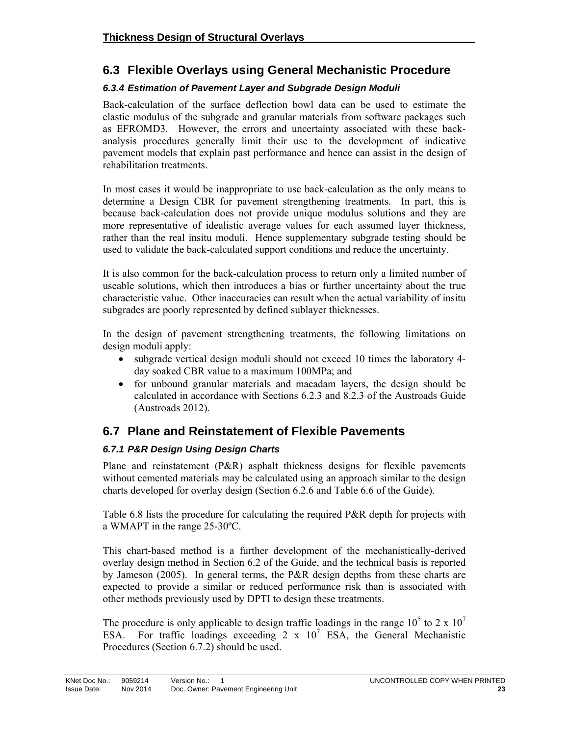# **6.3 Flexible Overlays using General Mechanistic Procedure**

#### *6.3.4 Estimation of Pavement Layer and Subgrade Design Moduli*

Back-calculation of the surface deflection bowl data can be used to estimate the elastic modulus of the subgrade and granular materials from software packages such as EFROMD3. However, the errors and uncertainty associated with these backanalysis procedures generally limit their use to the development of indicative pavement models that explain past performance and hence can assist in the design of rehabilitation treatments.

In most cases it would be inappropriate to use back-calculation as the only means to determine a Design CBR for pavement strengthening treatments. In part, this is because back-calculation does not provide unique modulus solutions and they are more representative of idealistic average values for each assumed layer thickness, rather than the real insitu moduli. Hence supplementary subgrade testing should be used to validate the back-calculated support conditions and reduce the uncertainty.

It is also common for the back-calculation process to return only a limited number of useable solutions, which then introduces a bias or further uncertainty about the true characteristic value. Other inaccuracies can result when the actual variability of insitu subgrades are poorly represented by defined sublayer thicknesses.

In the design of pavement strengthening treatments, the following limitations on design moduli apply:

- subgrade vertical design moduli should not exceed 10 times the laboratory 4day soaked CBR value to a maximum 100MPa; and
- for unbound granular materials and macadam layers, the design should be calculated in accordance with Sections 6.2.3 and 8.2.3 of the Austroads Guide (Austroads 2012).

### **6.7 Plane and Reinstatement of Flexible Pavements**

### *6.7.1 P&R Design Using Design Charts*

Plane and reinstatement (P&R) asphalt thickness designs for flexible pavements without cemented materials may be calculated using an approach similar to the design charts developed for overlay design (Section 6.2.6 and Table 6.6 of the Guide).

Table 6.8 lists the procedure for calculating the required P&R depth for projects with a WMAPT in the range 25-30ºC.

This chart-based method is a further development of the mechanistically-derived overlay design method in Section 6.2 of the Guide, and the technical basis is reported by Jameson (2005). In general terms, the P&R design depths from these charts are expected to provide a similar or reduced performance risk than is associated with other methods previously used by DPTI to design these treatments.

The procedure is only applicable to design traffic loadings in the range  $10^5$  to 2 x  $10^7$ ESA. For traffic loadings exceeding  $2 \times 10^7$  ESA, the General Mechanistic Procedures (Section 6.7.2) should be used.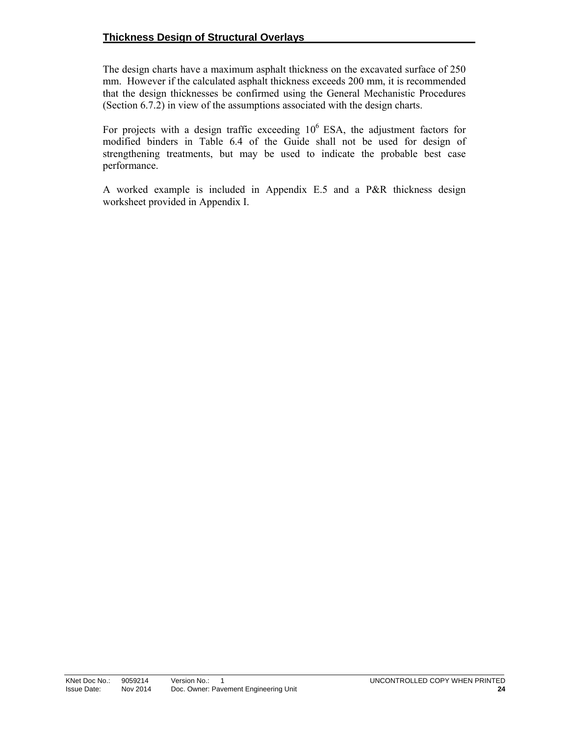The design charts have a maximum asphalt thickness on the excavated surface of 250 mm. However if the calculated asphalt thickness exceeds 200 mm, it is recommended that the design thicknesses be confirmed using the General Mechanistic Procedures (Section 6.7.2) in view of the assumptions associated with the design charts.

For projects with a design traffic exceeding  $10^6$  ESA, the adjustment factors for modified binders in Table 6.4 of the Guide shall not be used for design of strengthening treatments, but may be used to indicate the probable best case performance.

A worked example is included in Appendix E.5 and a P&R thickness design worksheet provided in Appendix I.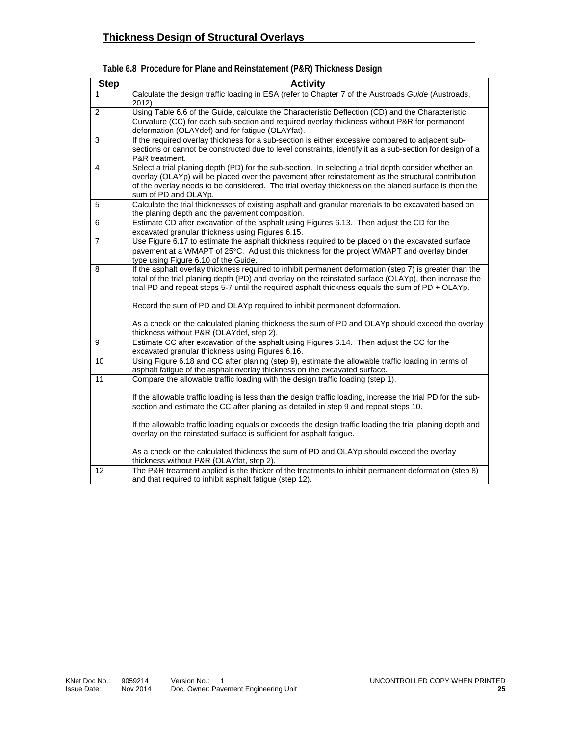| <b>Step</b>    | <b>Activity</b>                                                                                                                                                                                                                                                                                                                                                                                    |
|----------------|----------------------------------------------------------------------------------------------------------------------------------------------------------------------------------------------------------------------------------------------------------------------------------------------------------------------------------------------------------------------------------------------------|
| 1              | Calculate the design traffic loading in ESA (refer to Chapter 7 of the Austroads Guide (Austroads,<br>2012).                                                                                                                                                                                                                                                                                       |
| $\overline{2}$ | Using Table 6.6 of the Guide, calculate the Characteristic Deflection (CD) and the Characteristic<br>Curvature (CC) for each sub-section and required overlay thickness without P&R for permanent<br>deformation (OLAYdef) and for fatigue (OLAYfat).                                                                                                                                              |
| 3              | If the required overlay thickness for a sub-section is either excessive compared to adjacent sub-<br>sections or cannot be constructed due to level constraints, identify it as a sub-section for design of a<br>P&R treatment.                                                                                                                                                                    |
| $\overline{4}$ | Select a trial planing depth (PD) for the sub-section. In selecting a trial depth consider whether an<br>overlay (OLAYp) will be placed over the pavement after reinstatement as the structural contribution<br>of the overlay needs to be considered. The trial overlay thickness on the planed surface is then the<br>sum of PD and OLAYp.                                                       |
| 5              | Calculate the trial thicknesses of existing asphalt and granular materials to be excavated based on<br>the planing depth and the pavement composition.                                                                                                                                                                                                                                             |
| 6              | Estimate CD after excavation of the asphalt using Figures 6.13. Then adjust the CD for the<br>excavated granular thickness using Figures 6.15.                                                                                                                                                                                                                                                     |
| $\overline{7}$ | Use Figure 6.17 to estimate the asphalt thickness required to be placed on the excavated surface<br>pavement at a WMAPT of 25°C. Adjust this thickness for the project WMAPT and overlay binder<br>type using Figure 6.10 of the Guide.                                                                                                                                                            |
| 8              | If the asphalt overlay thickness required to inhibit permanent deformation (step 7) is greater than the<br>total of the trial planing depth (PD) and overlay on the reinstated surface (OLAYp), then increase the<br>trial PD and repeat steps 5-7 until the required asphalt thickness equals the sum of PD + OLAYp.<br>Record the sum of PD and OLAYp required to inhibit permanent deformation. |
|                | As a check on the calculated planing thickness the sum of PD and OLAYp should exceed the overlay<br>thickness without P&R (OLAYdef, step 2).                                                                                                                                                                                                                                                       |
| 9              | Estimate CC after excavation of the asphalt using Figures 6.14. Then adjust the CC for the<br>excavated granular thickness using Figures 6.16.                                                                                                                                                                                                                                                     |
| 10             | Using Figure 6.18 and CC after planing (step 9), estimate the allowable traffic loading in terms of<br>asphalt fatigue of the asphalt overlay thickness on the excavated surface.                                                                                                                                                                                                                  |
| 11             | Compare the allowable traffic loading with the design traffic loading (step 1).<br>If the allowable traffic loading is less than the design traffic loading, increase the trial PD for the sub-<br>section and estimate the CC after planing as detailed in step 9 and repeat steps 10.                                                                                                            |
|                | If the allowable traffic loading equals or exceeds the design traffic loading the trial planing depth and<br>overlay on the reinstated surface is sufficient for asphalt fatigue.                                                                                                                                                                                                                  |
|                | As a check on the calculated thickness the sum of PD and OLAYp should exceed the overlay<br>thickness without P&R (OLAYfat, step 2).                                                                                                                                                                                                                                                               |
| 12             | The P&R treatment applied is the thicker of the treatments to inhibit permanent deformation (step 8)<br>and that required to inhibit asphalt fatigue (step 12).                                                                                                                                                                                                                                    |

#### **Table 6.8 Procedure for Plane and Reinstatement (P&R) Thickness Design**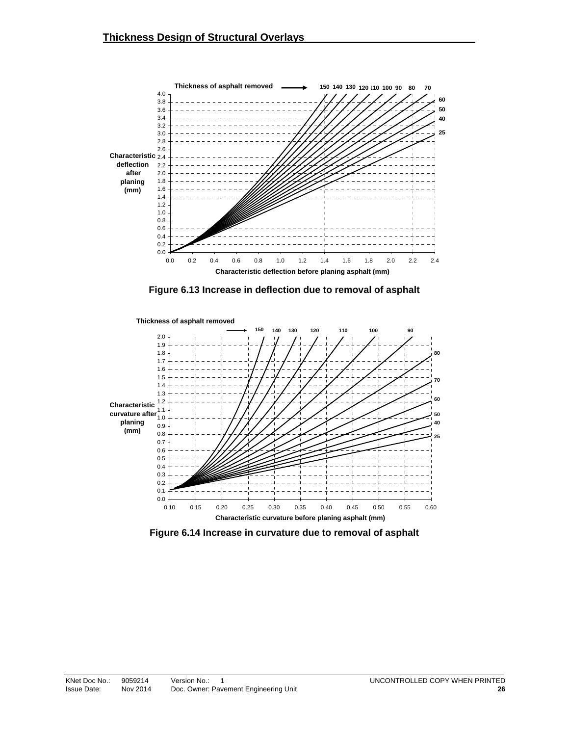

**Figure 6.13 Increase in deflection due to removal of asphalt** 



**Figure 6.14 Increase in curvature due to removal of asphalt**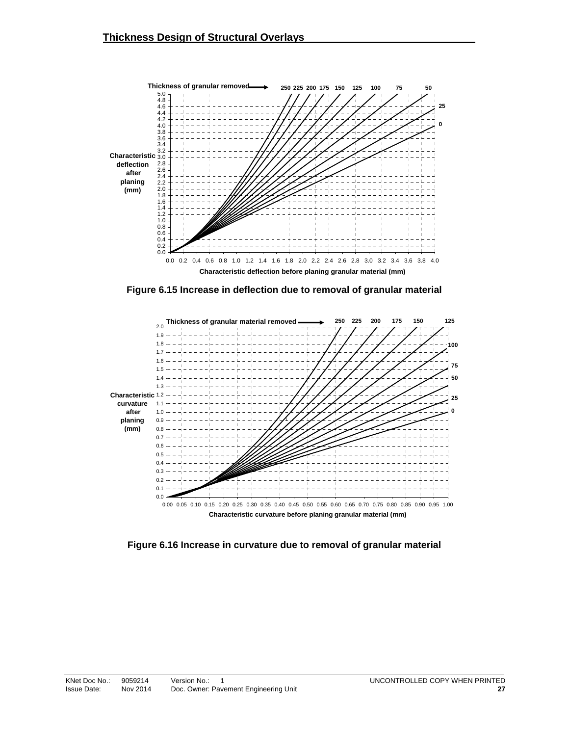

**Figure 6.15 Increase in deflection due to removal of granular material** 



**Figure 6.16 Increase in curvature due to removal of granular material**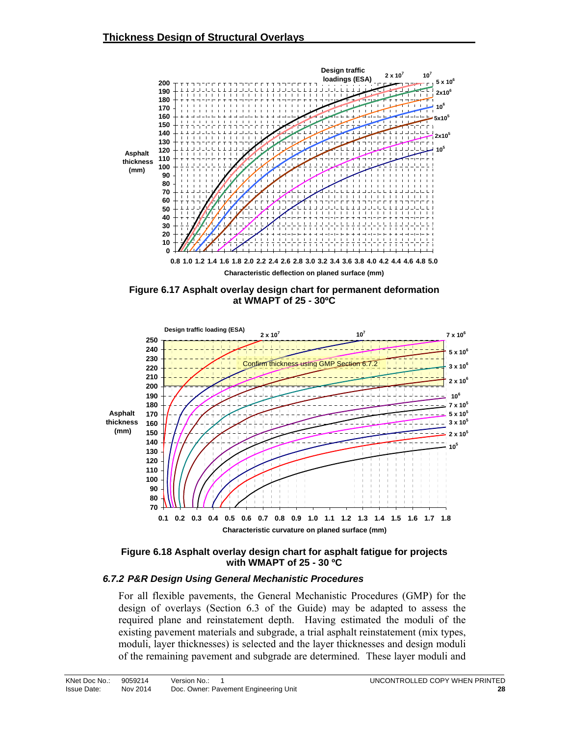

**Figure 6.17 Asphalt overlay design chart for permanent deformation at WMAPT of 25 - 30ºC** 



**Figure 6.18 Asphalt overlay design chart for asphalt fatigue for projects with WMAPT of 25 - 30 ºC** 

#### *6.7.2 P&R Design Using General Mechanistic Procedures*

For all flexible pavements, the General Mechanistic Procedures (GMP) for the design of overlays (Section 6.3 of the Guide) may be adapted to assess the required plane and reinstatement depth. Having estimated the moduli of the existing pavement materials and subgrade, a trial asphalt reinstatement (mix types, moduli, layer thicknesses) is selected and the layer thicknesses and design moduli of the remaining pavement and subgrade are determined. These layer moduli and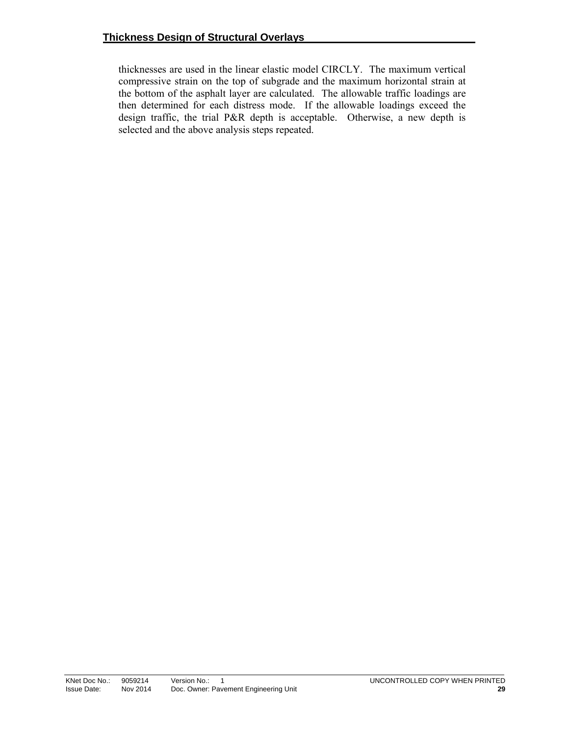thicknesses are used in the linear elastic model CIRCLY. The maximum vertical compressive strain on the top of subgrade and the maximum horizontal strain at the bottom of the asphalt layer are calculated. The allowable traffic loadings are then determined for each distress mode. If the allowable loadings exceed the design traffic, the trial P&R depth is acceptable. Otherwise, a new depth is selected and the above analysis steps repeated.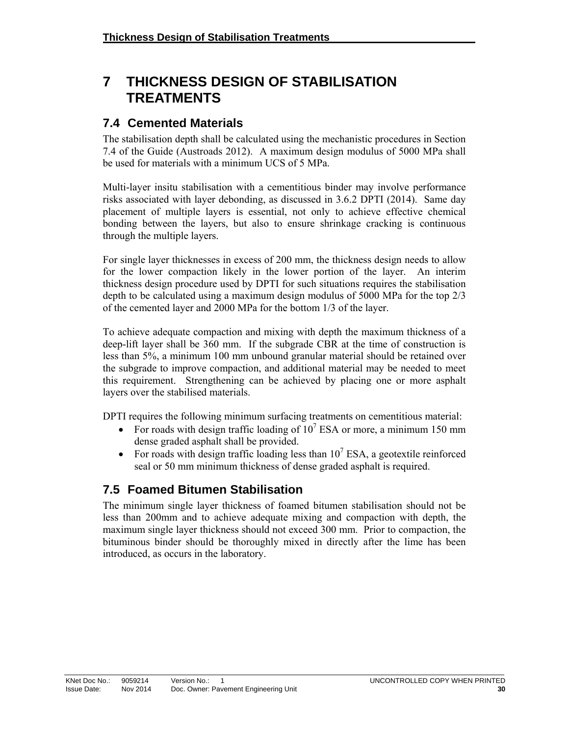# **7 THICKNESS DESIGN OF STABILISATION TREATMENTS**

### **7.4 Cemented Materials**

The stabilisation depth shall be calculated using the mechanistic procedures in Section 7.4 of the Guide (Austroads 2012). A maximum design modulus of 5000 MPa shall be used for materials with a minimum UCS of 5 MPa.

Multi-layer insitu stabilisation with a cementitious binder may involve performance risks associated with layer debonding, as discussed in 3.6.2 DPTI (2014). Same day placement of multiple layers is essential, not only to achieve effective chemical bonding between the layers, but also to ensure shrinkage cracking is continuous through the multiple layers.

For single layer thicknesses in excess of 200 mm, the thickness design needs to allow for the lower compaction likely in the lower portion of the layer. An interim thickness design procedure used by DPTI for such situations requires the stabilisation depth to be calculated using a maximum design modulus of 5000 MPa for the top 2/3 of the cemented layer and 2000 MPa for the bottom 1/3 of the layer.

To achieve adequate compaction and mixing with depth the maximum thickness of a deep-lift layer shall be 360 mm. If the subgrade CBR at the time of construction is less than 5%, a minimum 100 mm unbound granular material should be retained over the subgrade to improve compaction, and additional material may be needed to meet this requirement. Strengthening can be achieved by placing one or more asphalt layers over the stabilised materials.

DPTI requires the following minimum surfacing treatments on cementitious material:

- For roads with design traffic loading of  $10^7$  ESA or more, a minimum 150 mm dense graded asphalt shall be provided.
- For roads with design traffic loading less than  $10^7$  ESA, a geotextile reinforced seal or 50 mm minimum thickness of dense graded asphalt is required.

# **7.5 Foamed Bitumen Stabilisation**

The minimum single layer thickness of foamed bitumen stabilisation should not be less than 200mm and to achieve adequate mixing and compaction with depth, the maximum single layer thickness should not exceed 300 mm. Prior to compaction, the bituminous binder should be thoroughly mixed in directly after the lime has been introduced, as occurs in the laboratory.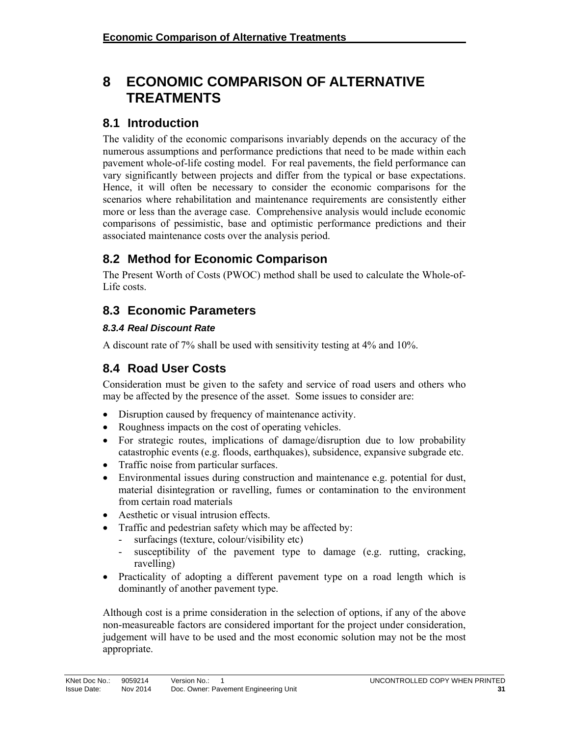# **8 ECONOMIC COMPARISON OF ALTERNATIVE TREATMENTS**

### **8.1 Introduction**

The validity of the economic comparisons invariably depends on the accuracy of the numerous assumptions and performance predictions that need to be made within each pavement whole-of-life costing model. For real pavements, the field performance can vary significantly between projects and differ from the typical or base expectations. Hence, it will often be necessary to consider the economic comparisons for the scenarios where rehabilitation and maintenance requirements are consistently either more or less than the average case. Comprehensive analysis would include economic comparisons of pessimistic, base and optimistic performance predictions and their associated maintenance costs over the analysis period.

# **8.2 Method for Economic Comparison**

The Present Worth of Costs (PWOC) method shall be used to calculate the Whole-of-Life costs.

# **8.3 Economic Parameters**

#### *8.3.4 Real Discount Rate*

A discount rate of 7% shall be used with sensitivity testing at 4% and 10%.

# **8.4 Road User Costs**

Consideration must be given to the safety and service of road users and others who may be affected by the presence of the asset. Some issues to consider are:

- Disruption caused by frequency of maintenance activity.
- Roughness impacts on the cost of operating vehicles.
- For strategic routes, implications of damage/disruption due to low probability catastrophic events (e.g. floods, earthquakes), subsidence, expansive subgrade etc.
- Traffic noise from particular surfaces.
- Environmental issues during construction and maintenance e.g. potential for dust, material disintegration or ravelling, fumes or contamination to the environment from certain road materials
- Aesthetic or visual intrusion effects.
- Traffic and pedestrian safety which may be affected by:
	- surfacings (texture, colour/visibility etc)
	- susceptibility of the pavement type to damage (e.g. rutting, cracking, ravelling)
- Practicality of adopting a different pavement type on a road length which is dominantly of another pavement type.

Although cost is a prime consideration in the selection of options, if any of the above non-measureable factors are considered important for the project under consideration, judgement will have to be used and the most economic solution may not be the most appropriate.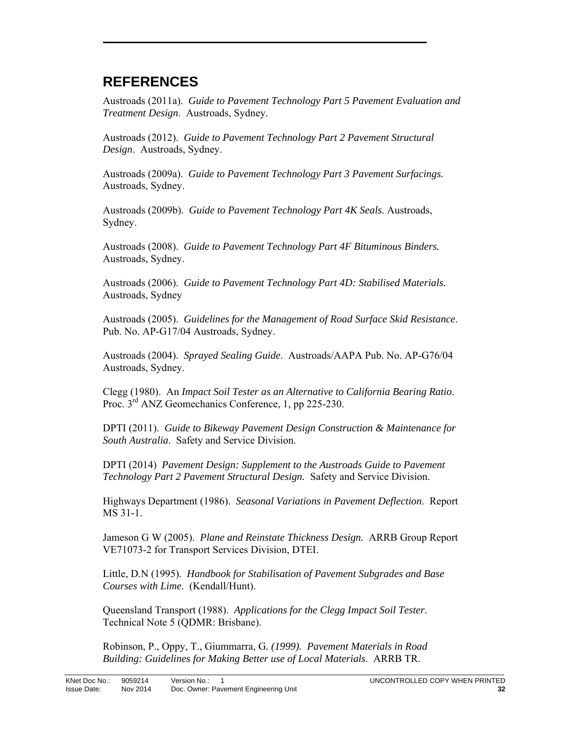# **REFERENCES**

Austroads (2011a). *Guide to Pavement Technology Part 5 Pavement Evaluation and Treatment Design*. Austroads, Sydney.

Austroads (2012). *Guide to Pavement Technology Part 2 Pavement Structural Design*. Austroads, Sydney.

Austroads (2009a). *Guide to Pavement Technology Part 3 Pavement Surfacings.*  Austroads, Sydney.

Austroads (2009b). *Guide to Pavement Technology Part 4K Seals.* Austroads, Sydney.

Austroads (2008). *Guide to Pavement Technology Part 4F Bituminous Binders.*  Austroads, Sydney.

Austroads (2006). *Guide to Pavement Technology Part 4D: Stabilised Materials.*  Austroads, Sydney

Austroads (2005). *Guidelines for the Management of Road Surface Skid Resistance*. Pub. No. AP-G17/04 Austroads, Sydney.

Austroads (2004). *Sprayed Sealing Guide*. Austroads/AAPA Pub. No. AP-G76/04 Austroads, Sydney.

Clegg (1980). An *Impact Soil Tester as an Alternative to California Bearing Ratio*. Proc. 3<sup>rd</sup> ANZ Geomechanics Conference, 1, pp 225-230.

DPTI (2011). *Guide to Bikeway Pavement Design Construction & Maintenance for South Australia*. Safety and Service Division.

DPTI (2014) *Pavement Design: Supplement to the Austroads Guide to Pavement Technology Part 2 Pavement Structural Design.* Safety and Service Division.

Highways Department (1986). *Seasonal Variations in Pavement Deflection*. Report MS 31-1.

Jameson G W (2005). *Plane and Reinstate Thickness Design.* ARRB Group Report VE71073-2 for Transport Services Division, DTEI.

Little, D.N (1995). *Handbook for Stabilisation of Pavement Subgrades and Base Courses with Lime.* (Kendall/Hunt).

Queensland Transport (1988). *Applications for the Clegg Impact Soil Tester*. Technical Note 5 (QDMR: Brisbane).

Robinson, P., Oppy, T., Giummarra, G*. (1999). Pavement Materials in Road Building: Guidelines for Making Better use of Local Materials*. ARRB TR.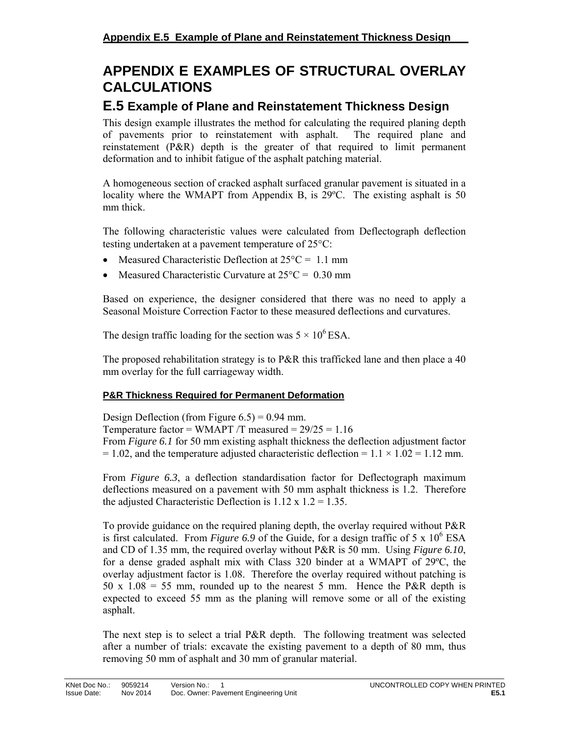# **APPENDIX E EXAMPLES OF STRUCTURAL OVERLAY CALCULATIONS**

### **E.5 Example of Plane and Reinstatement Thickness Design**

This design example illustrates the method for calculating the required planing depth of pavements prior to reinstatement with asphalt. The required plane and reinstatement (P&R) depth is the greater of that required to limit permanent deformation and to inhibit fatigue of the asphalt patching material.

A homogeneous section of cracked asphalt surfaced granular pavement is situated in a locality where the WMAPT from Appendix B, is 29ºC. The existing asphalt is 50 mm thick.

The following characteristic values were calculated from Deflectograph deflection testing undertaken at a pavement temperature of  $25^{\circ}$ C:

- Measured Characteristic Deflection at  $25^{\circ}$ C = 1.1 mm
- Measured Characteristic Curvature at  $25^{\circ}$ C = 0.30 mm

Based on experience, the designer considered that there was no need to apply a Seasonal Moisture Correction Factor to these measured deflections and curvatures.

The design traffic loading for the section was  $5 \times 10^6$  ESA.

The proposed rehabilitation strategy is to P&R this trafficked lane and then place a 40 mm overlay for the full carriageway width.

#### **P&R Thickness Required for Permanent Deformation**

Design Deflection (from Figure  $6.5$ ) = 0.94 mm. Temperature factor = WMAPT  $/T$  measured =  $29/25 = 1.16$ From *Figure 6.1* for 50 mm existing asphalt thickness the deflection adjustment factor  $= 1.02$ , and the temperature adjusted characteristic deflection  $= 1.1 \times 1.02 = 1.12$  mm.

From *Figure 6.3*, a deflection standardisation factor for Deflectograph maximum deflections measured on a pavement with 50 mm asphalt thickness is 1.2. Therefore the adjusted Characteristic Deflection is  $1.12 \times 1.2 = 1.35$ .

To provide guidance on the required planing depth, the overlay required without P&R is first calculated. From *Figure 6.9* of the Guide, for a design traffic of 5 x  $10^6$  ESA and CD of 1.35 mm, the required overlay without P&R is 50 mm. Using *Figure 6.10*, for a dense graded asphalt mix with Class 320 binder at a WMAPT of 29ºC, the overlay adjustment factor is 1.08. Therefore the overlay required without patching is 50 x  $1.08 = 55$  mm, rounded up to the nearest 5 mm. Hence the P&R depth is expected to exceed 55 mm as the planing will remove some or all of the existing asphalt.

The next step is to select a trial P&R depth. The following treatment was selected after a number of trials: excavate the existing pavement to a depth of 80 mm, thus removing 50 mm of asphalt and 30 mm of granular material.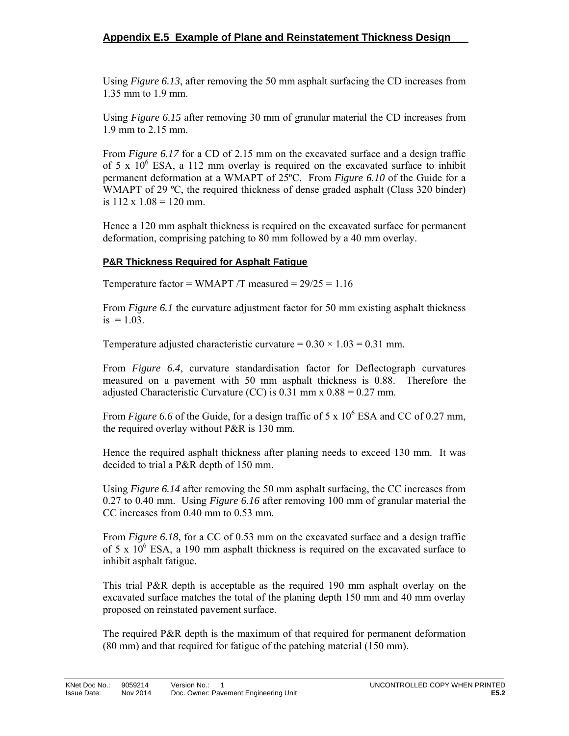Using *Figure 6.13*, after removing the 50 mm asphalt surfacing the CD increases from 1.35 mm to 1.9 mm.

Using *Figure 6.15* after removing 30 mm of granular material the CD increases from 1.9 mm to 2.15 mm.

From *Figure 6.17* for a CD of 2.15 mm on the excavated surface and a design traffic of 5 x  $10^6$  ESA, a 112 mm overlay is required on the excavated surface to inhibit permanent deformation at a WMAPT of 25ºC. From *Figure 6.10* of the Guide for a WMAPT of 29 °C, the required thickness of dense graded asphalt (Class 320 binder) is  $112 \times 1.08 = 120$  mm.

Hence a 120 mm asphalt thickness is required on the excavated surface for permanent deformation, comprising patching to 80 mm followed by a 40 mm overlay.

#### **P&R Thickness Required for Asphalt Fatigue**

Temperature factor = WMAPT /T measured =  $29/25 = 1.16$ 

From *Figure 6.1* the curvature adjustment factor for 50 mm existing asphalt thickness  $is = 1.03$ .

Temperature adjusted characteristic curvature =  $0.30 \times 1.03 = 0.31$  mm.

From *Figure 6.4*, curvature standardisation factor for Deflectograph curvatures measured on a pavement with 50 mm asphalt thickness is 0.88. Therefore the adjusted Characteristic Curvature (CC) is  $0.31$  mm x  $0.88 = 0.27$  mm.

From *Figure 6.6* of the Guide, for a design traffic of 5 x  $10^6$  ESA and CC of 0.27 mm, the required overlay without P&R is 130 mm.

Hence the required asphalt thickness after planing needs to exceed 130 mm. It was decided to trial a P&R depth of 150 mm.

Using *Figure 6.14* after removing the 50 mm asphalt surfacing, the CC increases from 0.27 to 0.40 mm. Using *Figure 6.16* after removing 100 mm of granular material the CC increases from 0.40 mm to 0.53 mm.

From *Figure 6.18*, for a CC of 0.53 mm on the excavated surface and a design traffic of 5 x  $10^6$  ESA, a 190 mm asphalt thickness is required on the excavated surface to inhibit asphalt fatigue.

This trial P&R depth is acceptable as the required 190 mm asphalt overlay on the excavated surface matches the total of the planing depth 150 mm and 40 mm overlay proposed on reinstated pavement surface.

The required P&R depth is the maximum of that required for permanent deformation (80 mm) and that required for fatigue of the patching material (150 mm).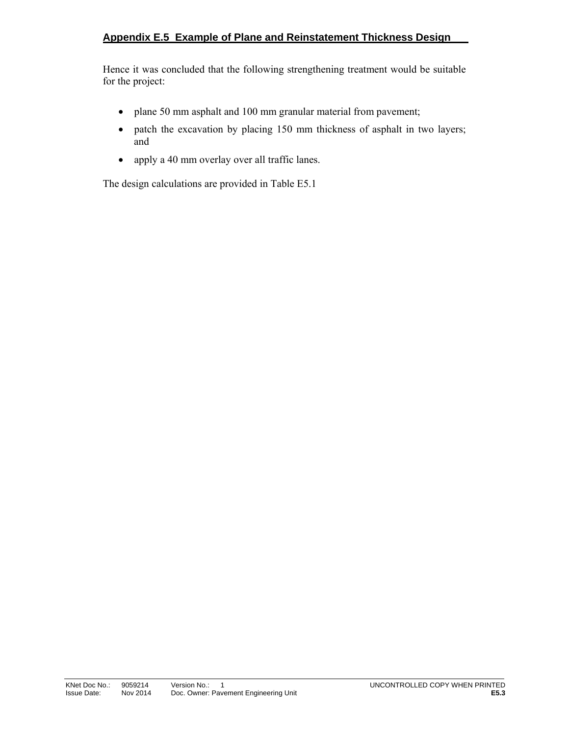Hence it was concluded that the following strengthening treatment would be suitable for the project:

- plane 50 mm asphalt and 100 mm granular material from pavement;
- patch the excavation by placing 150 mm thickness of asphalt in two layers; and
- apply a 40 mm overlay over all traffic lanes.

The design calculations are provided in Table E5.1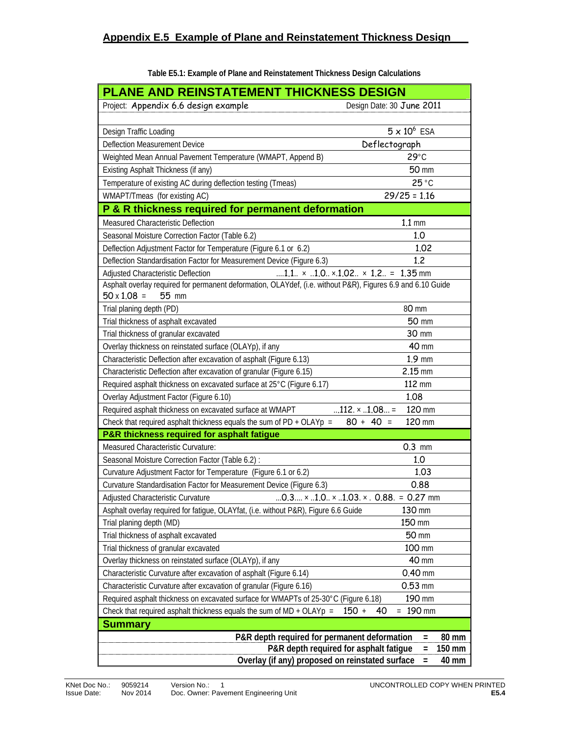| PLANE AND REINSTATEMENT THICKNESS DESIGN                                                                    |                                                                         |
|-------------------------------------------------------------------------------------------------------------|-------------------------------------------------------------------------|
| Project: Appendix 6.6 design example                                                                        | Design Date: 30 June 2011                                               |
|                                                                                                             |                                                                         |
| Design Traffic Loading                                                                                      | $5 \times 10^6$ ESA                                                     |
| Deflection Measurement Device                                                                               | Deflectograph                                                           |
| Weighted Mean Annual Pavement Temperature (WMAPT, Append B)                                                 | $29^{\circ}$ C                                                          |
| Existing Asphalt Thickness (if any)                                                                         | <b>50 mm</b>                                                            |
| Temperature of existing AC during deflection testing (Tmeas)                                                | 25 °C                                                                   |
| WMAPT/Tmeas (for existing AC)                                                                               | $29/25 = 1.16$                                                          |
| P & R thickness required for permanent deformation                                                          |                                                                         |
| Measured Characteristic Deflection                                                                          | $1.1 \text{ mm}$                                                        |
| Seasonal Moisture Correction Factor (Table 6.2)                                                             | 1.0                                                                     |
| Deflection Adjustment Factor for Temperature (Figure 6.1 or 6.2)                                            | 1.02                                                                    |
| Deflection Standardisation Factor for Measurement Device (Figure 6.3)                                       | 1.2                                                                     |
| Adjusted Characteristic Deflection                                                                          | 1.1. $\times$ 1.0. $\times$ .1.02. $\times$ 1.2. = 1.35 mm              |
| Asphalt overlay required for permanent deformation, OLAYdef, (i.e. without P&R), Figures 6.9 and 6.10 Guide |                                                                         |
| $50 \times 1.08 =$<br>55 mm                                                                                 |                                                                         |
| Trial planing depth (PD)                                                                                    | 80 mm                                                                   |
| Trial thickness of asphalt excavated                                                                        | 50 mm                                                                   |
| Trial thickness of granular excavated                                                                       | 30 mm                                                                   |
| Overlay thickness on reinstated surface (OLAYp), if any                                                     | <b>40 mm</b>                                                            |
| Characteristic Deflection after excavation of asphalt (Figure 6.13)                                         | $1.9$ mm                                                                |
| Characteristic Deflection after excavation of granular (Figure 6.15)                                        | $2.15$ mm                                                               |
| Required asphalt thickness on excavated surface at 25°C (Figure 6.17)                                       | 112 mm                                                                  |
| Overlay Adjustment Factor (Figure 6.10)                                                                     | 1.08                                                                    |
| Required asphalt thickness on excavated surface at WMAPT                                                    | 120 mm<br>$112. \times .1.08$                                           |
| Check that required asphalt thickness equals the sum of $PD + OLAYp =$                                      | $80 + 40 =$<br>120 mm                                                   |
| P&R thickness required for asphalt fatigue                                                                  |                                                                         |
| Measured Characteristic Curvature:                                                                          | $0.3$ mm                                                                |
| Seasonal Moisture Correction Factor (Table 6.2) :                                                           | 1.0                                                                     |
| Curvature Adjustment Factor for Temperature (Figure 6.1 or 6.2)                                             | 1.03                                                                    |
| Curvature Standardisation Factor for Measurement Device (Figure 6.3)                                        | 0.88                                                                    |
| Adjusted Characteristic Curvature                                                                           | 0.3 $\times$ 1.0 $\times$ 1.03. $\times$ . 0.88. = 0.27 mm              |
| Asphalt overlay required for fatigue, OLAYfat, (i.e. without P&R), Figure 6.6 Guide                         | 130 mm                                                                  |
| Trial planing depth (MD)                                                                                    | 150 mm                                                                  |
| Trial thickness of asphalt excavated                                                                        | 50 mm                                                                   |
| Trial thickness of granular excavated                                                                       | 100 mm                                                                  |
| Overlay thickness on reinstated surface (OLAYp), if any                                                     | 40 mm                                                                   |
| Characteristic Curvature after excavation of asphalt (Figure 6.14)                                          | $0.40$ mm                                                               |
| Characteristic Curvature after excavation of granular (Figure 6.16)                                         | $0.53$ mm                                                               |
| Required asphalt thickness on excavated surface for WMAPTs of 25-30°C (Figure 6.18)                         | 190 mm                                                                  |
| Check that required asphalt thickness equals the sum of $MD + OLAYp =$                                      | 190 mm<br>$150 +$<br>40<br>$=$                                          |
| <b>Summary</b>                                                                                              |                                                                         |
| P&R depth required for permanent deformation                                                                | 80 mm<br>$=$<br>P&R depth required for asphalt fatigue<br>150 mm<br>$=$ |
| Overlay (if any) proposed on reinstated surface                                                             | 40 mm<br>$=$                                                            |

**Table E5.1: Example of Plane and Reinstatement Thickness Design Calculations**